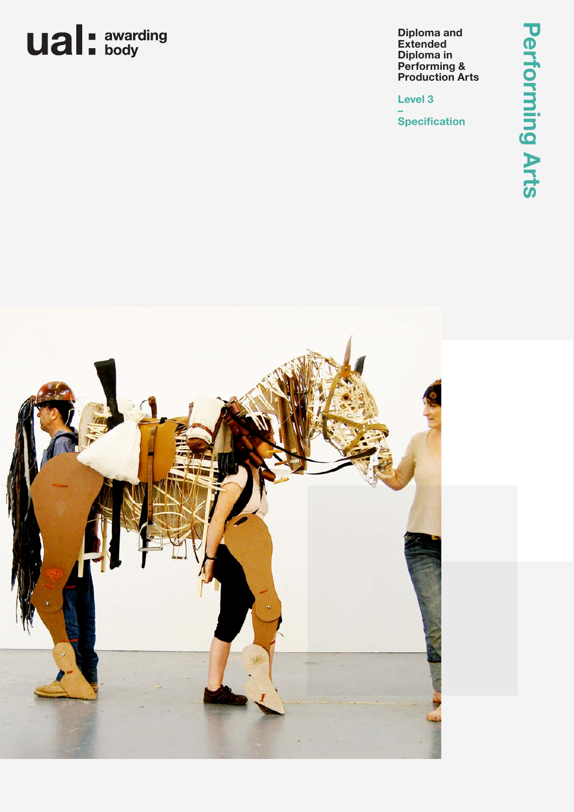## **ual**: awarding

**Diploma and Extended Diploma in Performing & Production Arts**

**Level 3**

**– Specification**

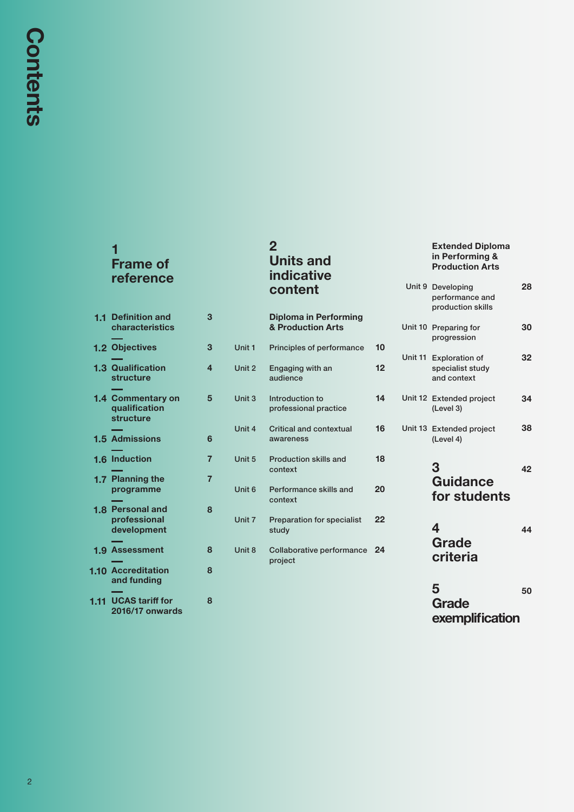## **1 Frame of reference**

## **2 Units and indicative content**

## **Extended Diploma in Performing & Production Arts**

**28**

Unit 9 Developing

|      |                                                        |                |        |                                             |    | performance and<br>production skills                      |    |
|------|--------------------------------------------------------|----------------|--------|---------------------------------------------|----|-----------------------------------------------------------|----|
|      | <b>1.1 Definition and</b><br>characteristics           | 3              |        | Diploma in Performing<br>& Production Arts  |    | Unit 10 Preparing for<br>progression                      | 30 |
|      | 1.2 Objectives                                         | 3              | Unit 1 | Principles of performance                   | 10 |                                                           |    |
|      | <b>1.3 Qualification</b><br>structure                  | $\overline{4}$ | Unit 2 | Engaging with an<br>audience                | 12 | Unit 11 Exploration of<br>specialist study<br>and context | 32 |
|      | 1.4 Commentary on<br>qualification<br><b>structure</b> | 5              | Unit 3 | Introduction to<br>professional practice    | 14 | Unit 12 Extended project<br>(Level 3)                     | 34 |
|      | <b>1.5 Admissions</b>                                  | 6              | Unit 4 | <b>Critical and contextual</b><br>awareness | 16 | Unit 13 Extended project<br>(Level 4)                     | 38 |
|      | 1.6 Induction                                          | $\overline{7}$ | Unit 5 | Production skills and<br>context            | 18 | 3                                                         | 42 |
|      | 1.7 Planning the<br>programme                          | $\overline{7}$ | Unit 6 | Performance skills and<br>context           | 20 | <b>Guidance</b><br>for students                           |    |
|      | <b>1.8 Personal and</b><br>professional<br>development | 8              | Unit 7 | <b>Preparation for specialist</b><br>study  | 22 | 4                                                         | 44 |
|      | <b>1.9 Assessment</b>                                  | 8              | Unit 8 | Collaborative performance 24<br>project     |    | Grade<br>criteria                                         |    |
|      | <b>1.10 Accreditation</b><br>and funding               | 8              |        |                                             |    | 5                                                         |    |
| 1.11 | <b>UCAS tariff for</b><br><b>2016/17 onwards</b>       | 8              |        |                                             |    | Grade<br>exemplification                                  | 50 |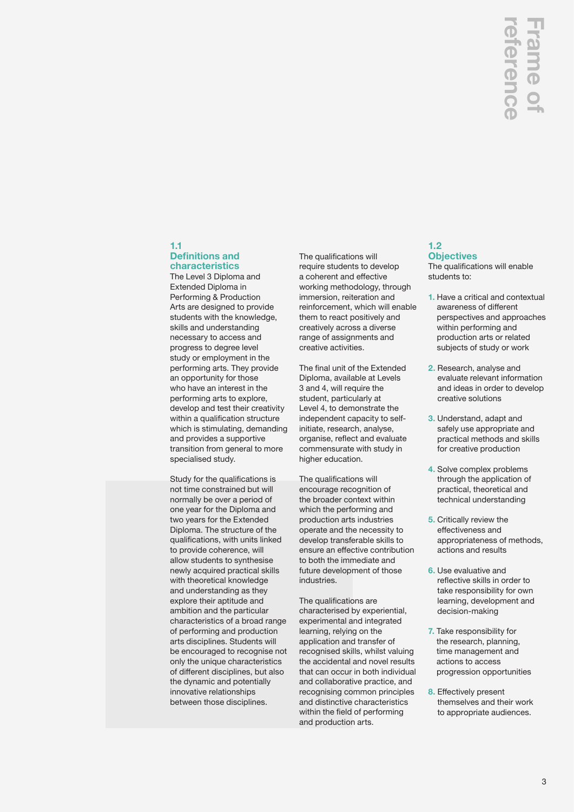## **1.1 Definitions and**

**characteristics** The Level 3 Diploma and Extended Diploma in Performing & Production Arts are designed to provide students with the knowledge, skills and understanding necessary to access and progress to degree level study or employment in the performing arts. They provide an opportunity for those who have an interest in the performing arts to explore, develop and test their creativity within a qualification structure which is stimulating, demanding and provides a supportive transition from general to more specialised study.

Study for the qualifications is not time constrained but will normally be over a period of one year for the Diploma and two years for the Extended Diploma. The structure of the qualifications, with units linked to provide coherence, will allow students to synthesise newly acquired practical skills with theoretical knowledge and understanding as they explore their aptitude and ambition and the particular characteristics of a broad range of performing and production arts disciplines. Students will be encouraged to recognise not only the unique characteristics of different disciplines, but also the dynamic and potentially innovative relationships between those disciplines.

The qualifications will require students to develop a coherent and effective working methodology, through immersion, reiteration and reinforcement, which will enable them to react positively and creatively across a diverse range of assignments and creative activities.

The final unit of the Extended Diploma, available at Levels 3 and 4, will require the student, particularly at Level 4, to demonstrate the independent capacity to selfinitiate, research, analyse, organise, reflect and evaluate commensurate with study in higher education.

The qualifications will encourage recognition of the broader context within which the performing and production arts industries operate and the necessity to develop transferable skills to ensure an effective contribution to both the immediate and future development of those industries.

The qualifications are characterised by experiential, experimental and integrated learning, relying on the application and transfer of recognised skills, whilst valuing the accidental and novel results that can occur in both individual and collaborative practice, and recognising common principles and distinctive characteristics within the field of performing and production arts.

## **1.2 Objectives**

The qualifications will enable students to:

- **1.** Have a critical and contextual awareness of different perspectives and approaches within performing and production arts or related subjects of study or work
- **2.** Research, analyse and evaluate relevant information and ideas in order to develop creative solutions
- **3.** Understand, adapt and safely use appropriate and practical methods and skills for creative production
- **4.** Solve complex problems through the application of practical, theoretical and technical understanding
- **5.** Critically review the effectiveness and appropriateness of methods, actions and results
- **6.** Use evaluative and reflective skills in order to take responsibility for own learning, development and decision-making
- **7.** Take responsibility for the research, planning, time management and actions to access progression opportunities
- **8.** Effectively present themselves and their work to appropriate audiences.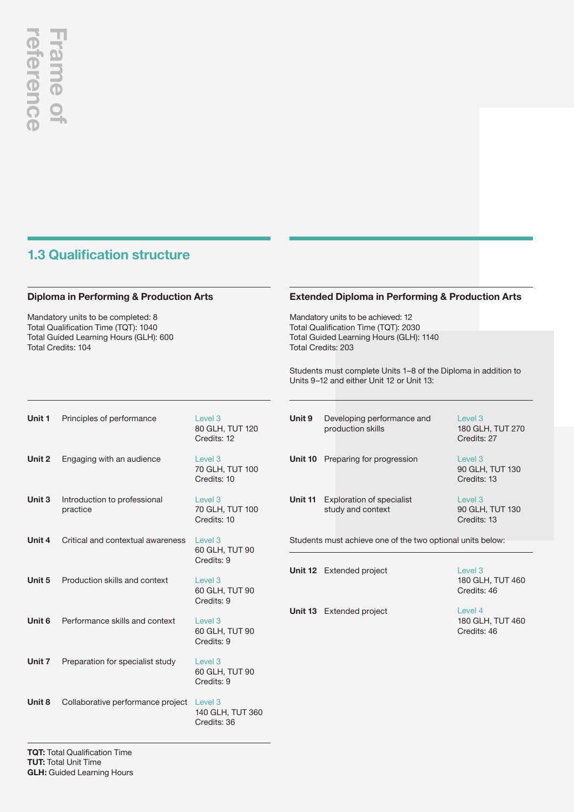## **1.3 Qualification structure**

## **Diploma in Performing & Production Arts**

Mandatory units to be completed: 8 Total Qualification Time (TQT): 1040 Total Guided Learning Hours (GLH): 600 Total Credits: 104

## **Extended Diploma in Performing & Production Arts**

Mandatory units to be achieved: 12 Total Qualification Time (TQT): 2030 Total Guided Learning Hours (GLH): 1140 Total Credits: 203

**Unit 13** Extended project

Students must complete Units 1–8 of the Diploma in addition to Units 9–12 and either Unit 12 or Unit 13:

| Unit 1 | Principles of performance                | Level <sub>3</sub><br>80 GLH, TUT 120<br>Credits: 12  |
|--------|------------------------------------------|-------------------------------------------------------|
| Unit 2 | Engaging with an audience                | Level <sub>3</sub><br>70 GLH, TUT 100<br>Credits: 10  |
| Unit 3 | Introduction to professional<br>practice | Level <sub>3</sub><br>70 GLH, TUT 100<br>Credits: 10  |
| Unit 4 | Critical and contextual awareness        | Level <sub>3</sub><br>60 GLH, TUT 90<br>Credits: 9    |
| Unit 5 | Production skills and context            | Level <sub>3</sub><br>60 GLH, TUT 90<br>Credits: 9    |
| Unit 6 | Performance skills and context           | Level <sub>3</sub><br>60 GLH, TUT 90<br>Credits: 9    |
| Unit 7 | Preparation for specialist study         | Level <sub>3</sub><br>60 GLH, TUT 90<br>Credits: 9    |
| Unit 8 | Collaborative performance project        | Level <sub>3</sub><br>140 GLH, TUT 360<br>Credits: 36 |
|        |                                          |                                                       |

| Unit 9                                                     | Developing performance and<br>production skills       | Level 3<br>180 GLH, TUT 270<br>Credits: 27           |  |
|------------------------------------------------------------|-------------------------------------------------------|------------------------------------------------------|--|
| Unit 10                                                    | Preparing for progression                             | Level <sub>3</sub><br>90 GLH, TUT 130<br>Credits: 13 |  |
| Unit 11                                                    | <b>Exploration of specialist</b><br>study and context | Level 3<br>90 GLH, TUT 130<br>Credits: 13            |  |
| Students must achieve one of the two optional units below: |                                                       |                                                      |  |
|                                                            | <b>Unit 12</b> Extended project                       | Level 3                                              |  |

Level 3 180 GLH, TUT 460 Credits: 46

Level 4 180 GLH, TUT 460 Credits: 46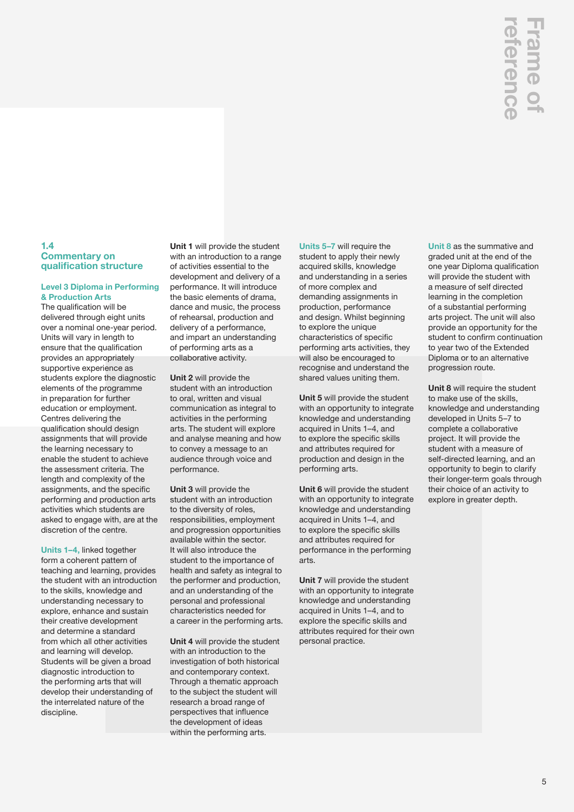## **1.4 Commentary on qualification structure**

### **Level 3 Diploma in Performing & Production Arts**

The qualification will be delivered through eight units over a nominal one-year period. Units will vary in length to ensure that the qualification provides an appropriately supportive experience as students explore the diagnostic elements of the programme in preparation for further education or employment. Centres delivering the qualification should design assignments that will provide the learning necessary to enable the student to achieve the assessment criteria. The length and complexity of the assignments, and the specific performing and production arts activities which students are asked to engage with, are at the discretion of the centre.

**Units 1–4,** linked together form a coherent pattern of teaching and learning, provides the student with an introduction to the skills, knowledge and understanding necessary to explore, enhance and sustain their creative development and determine a standard from which all other activities and learning will develop. Students will be given a broad diagnostic introduction to the performing arts that will develop their understanding of the interrelated nature of the discipline.

**Unit 1** will provide the student with an introduction to a range of activities essential to the development and delivery of a performance. It will introduce the basic elements of drama, dance and music, the process of rehearsal, production and delivery of a performance, and impart an understanding of performing arts as a collaborative activity.

**Unit 2** will provide the student with an introduction to oral, written and visual communication as integral to activities in the performing arts. The student will explore and analyse meaning and how to convey a message to an audience through voice and performance.

**Unit 3** will provide the student with an introduction to the diversity of roles, responsibilities, employment and progression opportunities available within the sector. It will also introduce the student to the importance of health and safety as integral to the performer and production, and an understanding of the personal and professional characteristics needed for a career in the performing arts.

**Unit 4** will provide the student with an introduction to the investigation of both historical and contemporary context. Through a thematic approach to the subject the student will research a broad range of perspectives that influence the development of ideas within the performing arts.

**Units 5–7** will require the student to apply their newly acquired skills, knowledge and understanding in a series of more complex and demanding assignments in production, performance and design. Whilst beginning to explore the unique characteristics of specific performing arts activities, they will also be encouraged to recognise and understand the shared values uniting them.

**Unit 5** will provide the student with an opportunity to integrate knowledge and understanding acquired in Units 1–4, and to explore the specific skills and attributes required for production and design in the performing arts.

**Unit 6** will provide the student with an opportunity to integrate knowledge and understanding acquired in Units 1–4, and to explore the specific skills and attributes required for performance in the performing arts.

**Unit 7** will provide the student with an opportunity to integrate knowledge and understanding acquired in Units 1–4, and to explore the specific skills and attributes required for their own personal practice.

**Unit 8** as the summative and graded unit at the end of the one year Diploma qualification will provide the student with a measure of self directed learning in the completion of a substantial performing arts project. The unit will also provide an opportunity for the student to confirm continuation to year two of the Extended Diploma or to an alternative progression route. **CONTABON CONTROLLERT SET CONTROLLERT SET CONTROLLERT CONTROLLERT CONTROLLERT SUPPRESS (CONTROLLERT SUPPRESS) CONTROLLERT SUPPRESS) CONTROLLERT SUPPRESS (CONTROLLERT SUPPRESS) CONTROLLERT SUPPRESS) CONTROLLERT SUPPRESS (CO** 

**Unit 8** will require the student to make use of the skills, knowledge and understanding developed in Units 5–7 to complete a collaborative project. It will provide the student with a measure of self-directed learning, and an opportunity to begin to clarify their longer-term goals through their choice of an activity to explore in greater depth.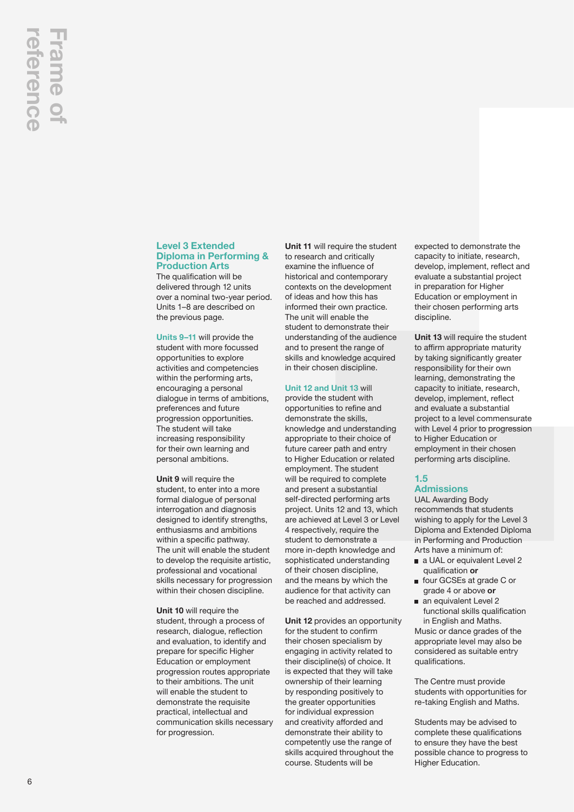## **Level 3 Extended Diploma in Performing & Production Arts**

The qualification will be delivered through 12 units over a nominal two-year period. Units 1–8 are described on the previous page.

**Units 9–11** will provide the student with more focussed opportunities to explore activities and competencies within the performing arts, encouraging a personal dialogue in terms of ambitions, preferences and future progression opportunities. The student will take increasing responsibility for their own learning and personal ambitions.

**Unit 9** will require the student, to enter into a more formal dialogue of personal interrogation and diagnosis designed to identify strengths, enthusiasms and ambitions within a specific pathway. The unit will enable the student to develop the requisite artistic, professional and vocational skills necessary for progression within their chosen discipline.

**Unit 10** will require the student, through a process of research, dialogue, reflection and evaluation, to identify and prepare for specific Higher Education or employment progression routes appropriate to their ambitions. The unit will enable the student to demonstrate the requisite practical, intellectual and communication skills necessary for progression.

**Unit 11** will require the student to research and critically examine the influence of historical and contemporary contexts on the development of ideas and how this has informed their own practice. The unit will enable the student to demonstrate their understanding of the audience and to present the range of skills and knowledge acquired in their chosen discipline.

## **Unit 12 and Unit 13** will

provide the student with opportunities to refine and demonstrate the skills, knowledge and understanding appropriate to their choice of future career path and entry to Higher Education or related employment. The student will be required to complete and present a substantial self-directed performing arts project. Units 12 and 13, which are achieved at Level 3 or Level 4 respectively, require the student to demonstrate a more in-depth knowledge and sophisticated understanding of their chosen discipline, and the means by which the audience for that activity can be reached and addressed.

**Unit 12** provides an opportunity for the student to confirm their chosen specialism by engaging in activity related to their discipline(s) of choice. It is expected that they will take ownership of their learning by responding positively to the greater opportunities for individual expression and creativity afforded and demonstrate their ability to competently use the range of skills acquired throughout the course. Students will be

expected to demonstrate the capacity to initiate, research, develop, implement, reflect and evaluate a substantial project in preparation for Higher Education or employment in their chosen performing arts discipline.

**Unit 13** will require the student to affirm appropriate maturity by taking significantly greater responsibility for their own learning, demonstrating the capacity to initiate, research, develop, implement, reflect and evaluate a substantial project to a level commensurate with Level 4 prior to progression to Higher Education or employment in their chosen performing arts discipline.

## **1.5 Admissions**

UAL Awarding Body recommends that students wishing to apply for the Level 3 Diploma and Extended Diploma in Performing and Production Arts have a minimum of:

- a UAL or equivalent Level 2 qualification **or**
- four GCSEs at grade C or grade 4 or above **or**
- an equivalent Level 2 functional skills qualification in English and Maths.

Music or dance grades of the appropriate level may also be considered as suitable entry qualifications.

The Centre must provide students with opportunities for re-taking English and Maths.

Students may be advised to complete these qualifications to ensure they have the best possible chance to progress to Higher Education.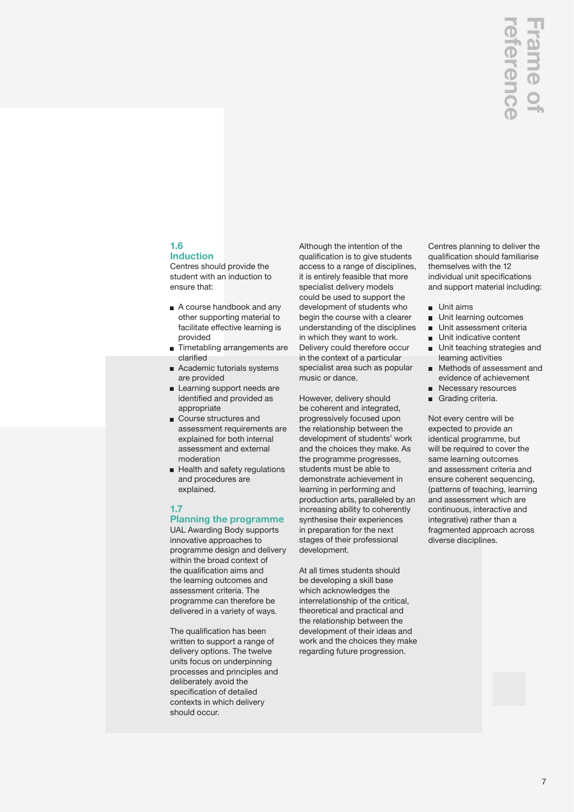## **1.6**

**Induction** Centres should provide the student with an induction to ensure that:

- A course handbook and any other supporting material to facilitate effective learning is provided
- **Timetabling arrangements are** clarified
- Academic tutorials systems are provided
- Learning support needs are identified and provided as appropriate
- **Course structures and** assessment requirements are explained for both internal assessment and external moderation
- Health and safety regulations and procedures are explained.

## **1.7**

## **Planning the programme**

UAL Awarding Body supports innovative approaches to programme design and delivery within the broad context of the qualification aims and the learning outcomes and assessment criteria. The programme can therefore be delivered in a variety of ways.

The qualification has been written to support a range of delivery options. The twelve units focus on underpinning processes and principles and deliberately avoid the specification of detailed contexts in which delivery should occur.

Although the intention of the qualification is to give students access to a range of disciplines, it is entirely feasible that more specialist delivery models could be used to support the development of students who begin the course with a clearer understanding of the disciplines in which they want to work. Delivery could therefore occur in the context of a particular specialist area such as popular music or dance.

However, delivery should be coherent and integrated, progressively focused upon the relationship between the development of students' work and the choices they make. As the programme progresses, students must be able to demonstrate achievement in learning in performing and production arts, paralleled by an increasing ability to coherently synthesise their experiences in preparation for the next stages of their professional development.

At all times students should be developing a skill base which acknowledges the interrelationship of the critical, theoretical and practical and the relationship between the development of their ideas and work and the choices they make regarding future progression.

Centres planning to deliver the qualification should familiarise themselves with the 12 individual unit specifications and support material including:

- **Unit aims**
- **Unit learning outcomes**
- **Unit assessment criteria**
- Unit indicative content
- **Unit teaching strategies and** learning activities
- Methods of assessment and m. evidence of achievement
- Necessary resources
- Grading criteria.

Not every centre will be expected to provide an identical programme, but will be required to cover the same learning outcomes and assessment criteria and ensure coherent sequencing, (patterns of teaching, learning and assessment which are continuous, interactive and integrative) rather than a fragmented approach across diverse disciplines.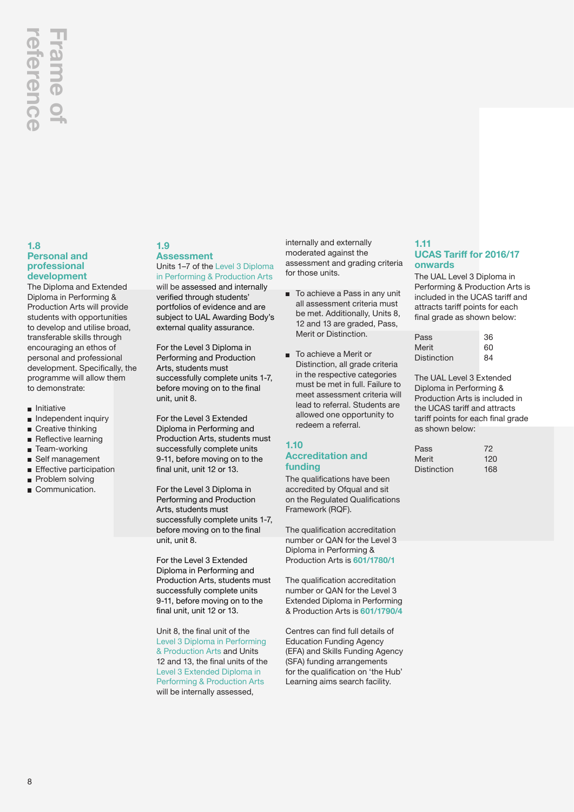## **reference Frame of**  Frame of eferenc

## **1.8 Personal and professional development**

The Diploma and Extended Diploma in Performing & Production Arts will provide students with opportunities to develop and utilise broad, transferable skills through encouraging an ethos of personal and professional development. Specifically, the programme will allow them to demonstrate:

- $\blacksquare$  Initiative
- **n** Independent inquiry
- Creative thinking  $\blacksquare$
- $\blacksquare$ Reflective learning
- Team-working
- Self management
- **Effective participation**
- Problem solving
- Communication.

## **1.9 Assessment**

Units 1–7 of the Level 3 Diploma in Performing & Production Arts

will be assessed and internally verified through students' portfolios of evidence and are subject to UAL Awarding Body's external quality assurance.

For the Level 3 Diploma in Performing and Production Arts, students must successfully complete units 1-7, before moving on to the final unit, unit 8.

For the Level 3 Extended Diploma in Performing and Production Arts, students must successfully complete units 9-11, before moving on to the final unit, unit 12 or 13.

For the Level 3 Diploma in Performing and Production Arts, students must successfully complete units 1-7, before moving on to the final unit, unit 8.

For the Level 3 Extended Diploma in Performing and Production Arts, students must successfully complete units 9-11, before moving on to the final unit, unit 12 or 13.

Unit 8, the final unit of the Level 3 Diploma in Performing & Production Arts and Units 12 and 13, the final units of the Level 3 Extended Diploma in Performing & Production Arts will be internally assessed,

internally and externally moderated against the assessment and grading criteria for those units.

- To achieve a Pass in any unit all assessment criteria must be met. Additionally, Units 8, 12 and 13 are graded, Pass, Merit or Distinction.
- To achieve a Merit or Distinction, all grade criteria in the respective categories must be met in full. Failure to meet assessment criteria will lead to referral. Students are allowed one opportunity to redeem a referral.

## **1.10 Accreditation and funding**

The qualifications have been accredited by Ofqual and sit on the Regulated Qualifications Framework (RQF).

The qualification accreditation number or QAN for the Level 3 Diploma in Performing & Production Arts is **601/1780/1**

The qualification accreditation number or QAN for the Level 3 Extended Diploma in Performing & Production Arts is **601/1790/4**

Centres can find full details of Education Funding Agency (EFA) and Skills Funding Agency (SFA) funding arrangements for the qualification on 'the Hub' Learning aims search facility.

## **1.11 UCAS Tariff for 2016/17 onwards**

The UAL Level 3 Diploma in Performing & Production Arts is included in the UCAS tariff and attracts tariff points for each final grade as shown below:

| Pass               | 36 |
|--------------------|----|
| Merit              | 60 |
| <b>Distinction</b> | 84 |

The UAL Level 3 Extended Diploma in Performing & Production Arts is included in the UCAS tariff and attracts tariff points for each final grade as shown below:

| Pass        | 72  |
|-------------|-----|
| Merit       | 120 |
| Distinction | 168 |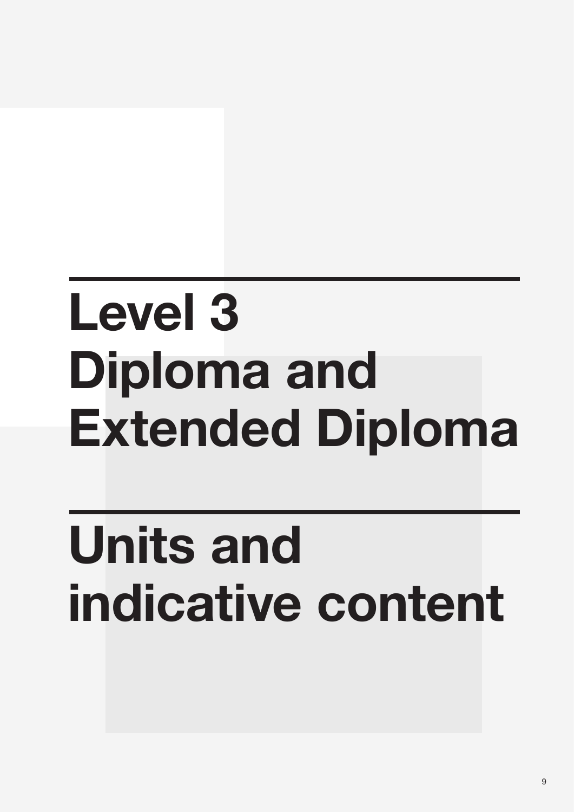## **Level 3 Diploma and Extended Diploma**

## **Units and indicative content**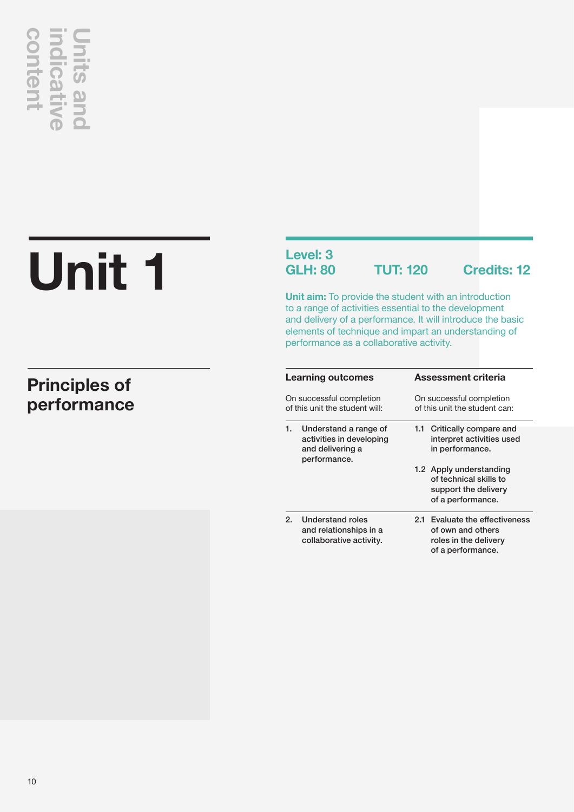## **content indicative Units and**  content **Ilcati**

## **Unit 1**

## **Principles of performance**

## **Level: 3**

**GLH: 80 TUT: 120 Credits: 12**

**Unit aim:** To provide the student with an introduction to a range of activities essential to the development and delivery of a performance. It will introduce the basic elements of technique and impart an understanding of performance as a collaborative activity.

|    | <b>Learning outcomes</b>                                                              | <b>Assessment criteria</b>                                                                           |  |  |
|----|---------------------------------------------------------------------------------------|------------------------------------------------------------------------------------------------------|--|--|
|    | On successful completion<br>of this unit the student will:                            | On successful completion<br>of this unit the student can:                                            |  |  |
| 1. | Understand a range of<br>activities in developing<br>and delivering a<br>performance. | Critically compare and<br>1.1<br>interpret activities used<br>in performance.                        |  |  |
|    |                                                                                       | 1.2 Apply understanding<br>of technical skills to<br>support the delivery<br>of a performance.       |  |  |
| 2. | Understand roles<br>and relationships in a<br>collaborative activity.                 | Evaluate the effectiveness<br>2.1<br>of own and others<br>roles in the delivery<br>of a performance. |  |  |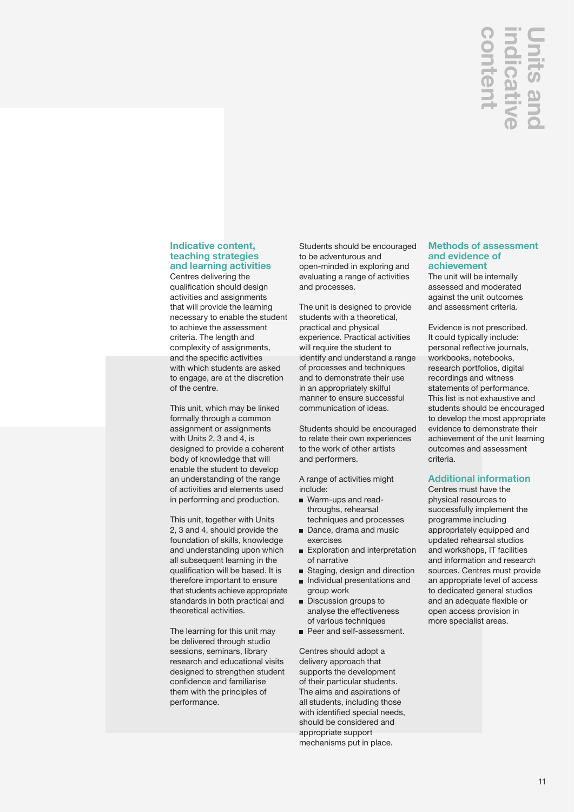## **Units and**  nter

## **Indicative content, teaching strategies and learning activities**

Centres delivering the qualification should design activities and assignments that will provide the learning necessary to enable the student to achieve the assessment criteria. The length and complexity of assignments, and the specific activities with which students are asked to engage, are at the discretion of the centre.

This unit, which may be linked formally through a common assignment or assignments with Units 2, 3 and 4, is designed to provide a coherent body of knowledge that will enable the student to develop an understanding of the range of activities and elements used in performing and production.

This unit, together with Units 2, 3 and 4, should provide the foundation of skills, knowledge and understanding upon which all subsequent learning in the qualification will be based. It is therefore important to ensure that students achieve appropriate standards in both practical and theoretical activities.

The learning for this unit may be delivered through studio sessions, seminars, library research and educational visits designed to strengthen student confidence and familiarise them with the principles of performance.

Students should be encouraged to be adventurous and open-minded in exploring and evaluating a range of activities and processes.

The unit is designed to provide students with a theoretical, practical and physical experience. Practical activities will require the student to identify and understand a range of processes and techniques and to demonstrate their use in an appropriately skilful manner to ensure successful communication of ideas.

Students should be encouraged to relate their own experiences to the work of other artists and performers.

A range of activities might include:

- Warm-ups and readthroughs, rehearsal techniques and processes
- Dance, drama and music exercises
- Exploration and interpretation of narrative
- Staging, design and direction **Individual presentations and**
- group work Discussion groups to
- analyse the effectiveness of various techniques
- Peer and self-assessment.

Centres should adopt a delivery approach that supports the development of their particular students. The aims and aspirations of all students, including those with identified special needs, should be considered and appropriate support mechanisms put in place.

## **Methods of assessment and evidence of achievement**

The unit will be internally assessed and moderated against the unit outcomes and assessment criteria.

Evidence is not prescribed. It could typically include: personal reflective journals, workbooks, notebooks, research portfolios, digital recordings and witness statements of performance. This list is not exhaustive and students should be encouraged to develop the most appropriate evidence to demonstrate their achievement of the unit learning outcomes and assessment criteria. **CONTRANS (THERE)**<br> **CONTRANS (THERE)**<br> **CONTRANS (THERE)**<br> **CONTRANS (THERE)**<br> **CONTRANS (THERE)**<br> **CONTRANS (THERE)**<br> **CONTRANS (THERE)**<br> **CONTRANS (THERE)**<br> **CONTRANS (THERE)**<br> **CONTRANS (THERE)**<br> **CONTRANS (THERE)**<br> **C** 

## **Additional information**

Centres must have the physical resources to successfully implement the programme including appropriately equipped and updated rehearsal studios and workshops, IT facilities and information and research sources. Centres must provide an appropriate level of access to dedicated general studios and an adequate flexible or open access provision in more specialist areas.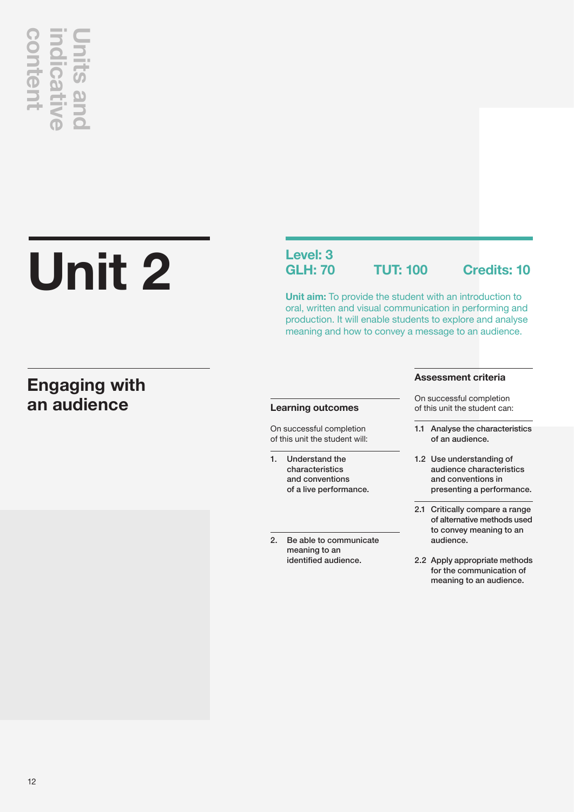# **an audience content indicative Units and**

## **Unit 2**

## **Engaging with**

## **Level: 3**

**GLH: 70 TUT: 100 Credits: 10**

**Unit aim:** To provide the student with an introduction to oral, written and visual communication in performing and production. It will enable students to explore and analyse meaning and how to convey a message to an audience.

## **Learning outcomes**

On successful completion of this unit the student will:

- 1. Understand the characteristics and conventions of a live performance.
- 2. Be able to communicate meaning to an identified audience.

## **Assessment criteria**

On successful completion of this unit the student can:

- 1.1 Analyse the characteristics of an audience.
- 1.2 Use understanding of audience characteristics and conventions in presenting a performance.
- 2.1 Critically compare a range of alternative methods used to convey meaning to an audience.
- 2.2 Apply appropriate methods for the communication of meaning to an audience.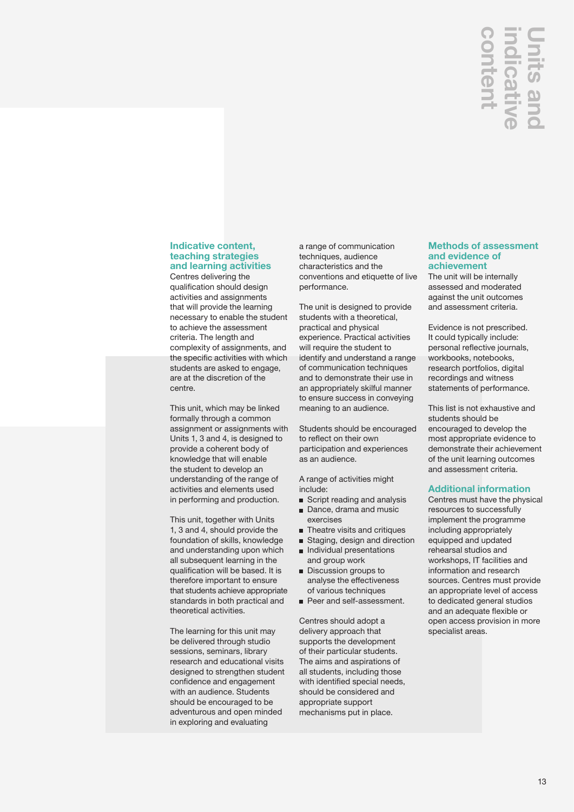## **indicative Units and**  nter

## **Indicative content, teaching strategies and learning activities**

Centres delivering the qualification should design activities and assignments that will provide the learning necessary to enable the student to achieve the assessment criteria. The length and complexity of assignments, and the specific activities with which students are asked to engage, are at the discretion of the centre.

This unit, which may be linked formally through a common assignment or assignments with Units 1, 3 and 4, is designed to provide a coherent body of knowledge that will enable the student to develop an understanding of the range of activities and elements used in performing and production.

This unit, together with Units 1, 3 and 4, should provide the foundation of skills, knowledge and understanding upon which all subsequent learning in the qualification will be based. It is therefore important to ensure that students achieve appropriate standards in both practical and theoretical activities.

The learning for this unit may be delivered through studio sessions, seminars, library research and educational visits designed to strengthen student confidence and engagement with an audience. Students should be encouraged to be adventurous and open minded in exploring and evaluating

a range of communication techniques, audience characteristics and the conventions and etiquette of live performance.

The unit is designed to provide students with a theoretical, practical and physical experience. Practical activities will require the student to identify and understand a range of communication techniques and to demonstrate their use in an appropriately skilful manner to ensure success in conveying meaning to an audience.

Students should be encouraged to reflect on their own participation and experiences as an audience.

A range of activities might include:

- Script reading and analysis
- Dance, drama and music exercises
- **n** Theatre visits and critiques
- Staging, design and direction Individual presentations
- and group work **Discussion groups to** analyse the effectiveness of various techniques
- Peer and self-assessment.

Centres should adopt a delivery approach that supports the development of their particular students. The aims and aspirations of all students, including those with identified special needs, should be considered and appropriate support mechanisms put in place.

## **Methods of assessment and evidence of achievement**

The unit will be internally assessed and moderated against the unit outcomes and assessment criteria.

Evidence is not prescribed. It could typically include: personal reflective journals, workbooks, notebooks, research portfolios, digital recordings and witness statements of performance.

This list is not exhaustive and students should be encouraged to develop the most appropriate evidence to demonstrate their achievement of the unit learning outcomes and assessment criteria.

## **Additional information**

Centres must have the physical resources to successfully implement the programme including appropriately equipped and updated rehearsal studios and workshops, IT facilities and information and research sources. Centres must provide an appropriate level of access to dedicated general studios and an adequate flexible or open access provision in more<br>specialist areas. specialist areas.**content**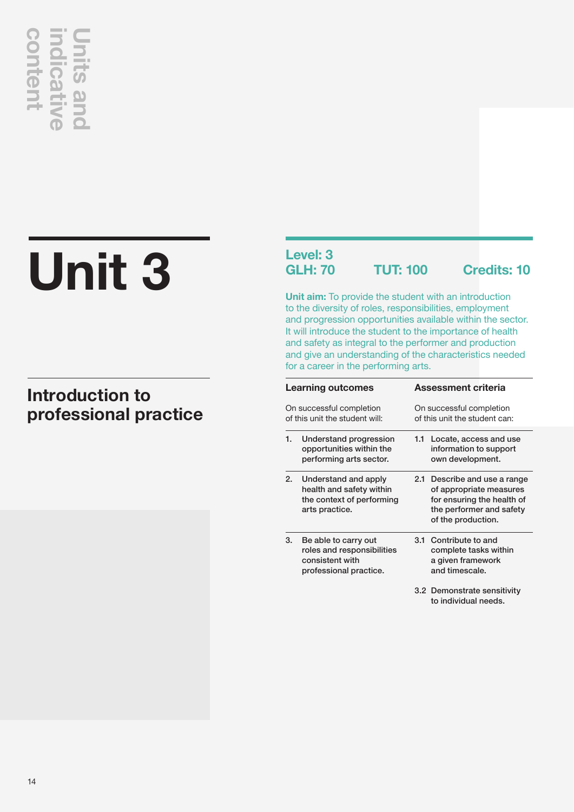# **Unit 3 professional professional practice**<br> **controduction to**<br> **professional practice**

## **Introduction to**

## **Level: 3**

**GLH: 70 TUT: 100 Credits: 10**

**Unit aim:** To provide the student with an introduction to the diversity of roles, responsibilities, employment and progression opportunities available within the sector. It will introduce the student to the importance of health and safety as integral to the performer and production and give an understanding of the characteristics needed for a career in the performing arts.

| <b>Learning outcomes</b> |                                                                                                 |                                                           | Assessment criteria                                                                                                                 |
|--------------------------|-------------------------------------------------------------------------------------------------|-----------------------------------------------------------|-------------------------------------------------------------------------------------------------------------------------------------|
|                          | On successful completion<br>of this unit the student will:                                      | On successful completion<br>of this unit the student can: |                                                                                                                                     |
| 1.                       | Understand progression<br>opportunities within the<br>performing arts sector.                   | 1.1                                                       | Locate, access and use<br>information to support<br>own development.                                                                |
| 2.                       | Understand and apply<br>health and safety within<br>the context of performing<br>arts practice. | 2.1                                                       | Describe and use a range<br>of appropriate measures<br>for ensuring the health of<br>the performer and safety<br>of the production. |
| 3.                       | Be able to carry out<br>roles and responsibilities<br>consistent with<br>professional practice. | 3.1                                                       | Contribute to and<br>complete tasks within<br>a given framework<br>and timescale.                                                   |
|                          |                                                                                                 |                                                           | 3.2 Demonstrate sensitivity<br>to individual needs.                                                                                 |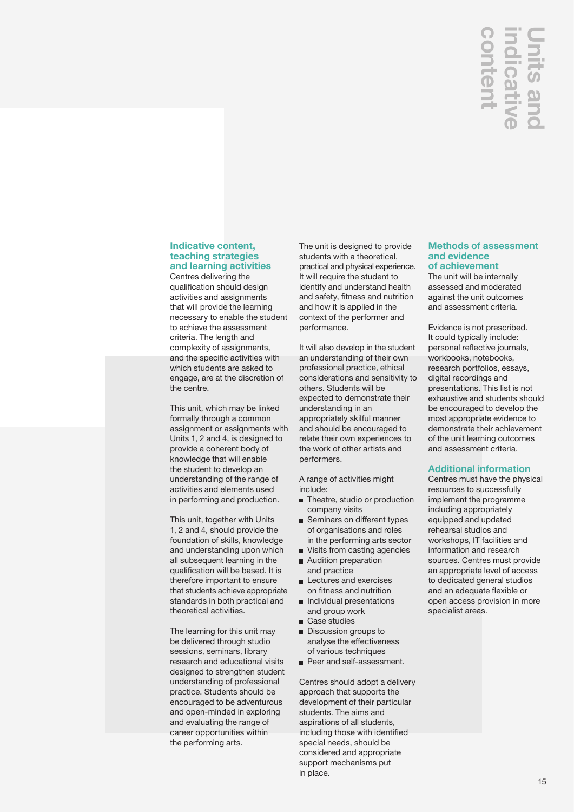## **indicative Units and**  nten **licat**

### **Indicative content, teaching strategies and learning activities**

Centres delivering the qualification should design activities and assignments that will provide the learning necessary to enable the student to achieve the assessment criteria. The length and complexity of assignments, and the specific activities with which students are asked to engage, are at the discretion of the centre.

This unit, which may be linked formally through a common assignment or assignments with Units 1, 2 and 4, is designed to provide a coherent body of knowledge that will enable the student to develop an understanding of the range of activities and elements used in performing and production.

This unit, together with Units 1, 2 and 4, should provide the foundation of skills, knowledge and understanding upon which all subsequent learning in the qualification will be based. It is therefore important to ensure that students achieve appropriate standards in both practical and theoretical activities.

The learning for this unit may be delivered through studio sessions, seminars, library research and educational visits designed to strengthen student understanding of professional practice. Students should be encouraged to be adventurous and open-minded in exploring and evaluating the range of career opportunities within the performing arts.

The unit is designed to provide students with a theoretical, practical and physical experience. It will require the student to identify and understand health and safety, fitness and nutrition and how it is applied in the context of the performer and performance.

It will also develop in the student an understanding of their own professional practice, ethical considerations and sensitivity to others. Students will be expected to demonstrate their understanding in an appropriately skilful manner and should be encouraged to relate their own experiences to the work of other artists and performers.

A range of activities might include:

- **n** Theatre, studio or production company visits
- Seminars on different types of organisations and roles in the performing arts sector
- Visits from casting agencies **Audition preparation**
- and practice **Lectures and exercises** on fitness and nutrition
- **n** Individual presentations and group work
- Case studies
- Discussion groups to analyse the effectiveness of various techniques
- Peer and self-assessment.

Centres should adopt a delivery approach that supports the development of their particular students. The aims and aspirations of all students, including those with identified special needs, should be considered and appropriate support mechanisms put in place.

## **Methods of assessment and evidence of achievement**

The unit will be internally assessed and moderated against the unit outcomes and assessment criteria.

Evidence is not prescribed. It could typically include: personal reflective journals, workbooks, notebooks, research portfolios, essays, digital recordings and presentations. This list is not exhaustive and students should be encouraged to develop the most appropriate evidence to demonstrate their achievement of the unit learning outcomes and assessment criteria.

## **Additional information**

**Methods of asset and evidence of achievement of achievement of achievement of achievement of achievement of achievement of achievement of the could typically in personal reflective workbooks, noteboty it could typically i** Centres must have the physical resources to successfully implement the programme including appropriately equipped and updated rehearsal studios and workshops, IT facilities and information and research sources. Centres must provide an appropriate level of access to dedicated general studios and an adequate flexible or open access provision in more specialist areas.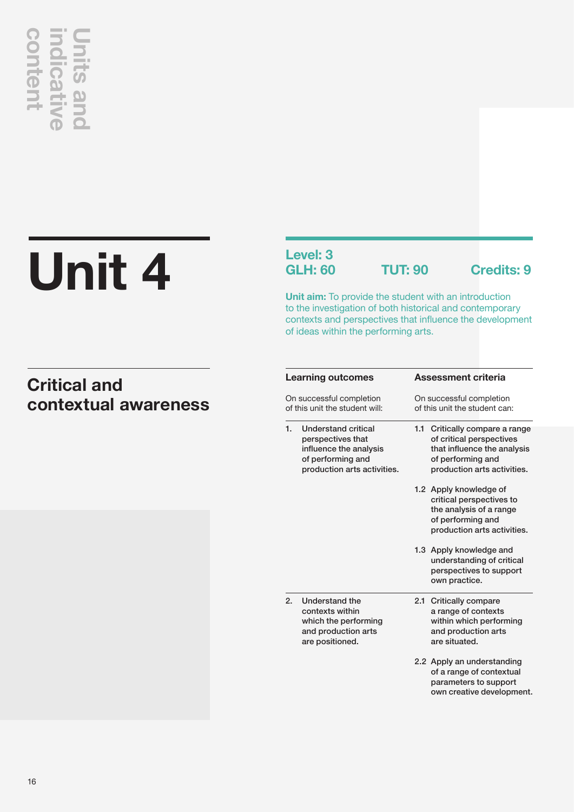# **Unit 4 contextual awareness**<br> **contextual awareness**<br>
contextual awareness

## **Level: 3**

**GLH: 60 TUT: 90 Credits: 9**

**Unit aim:** To provide the student with an introduction to the investigation of both historical and contemporary contexts and perspectives that influence the development of ideas within the performing arts.

## **Critical and**

|                  | <b>Learning outcomes</b>                                                                                                      | <b>Assessment criteria</b>                                                                                                                       |  |  |
|------------------|-------------------------------------------------------------------------------------------------------------------------------|--------------------------------------------------------------------------------------------------------------------------------------------------|--|--|
|                  | On successful completion<br>of this unit the student will:                                                                    | On successful completion<br>of this unit the student can:                                                                                        |  |  |
| 1.               | <b>Understand critical</b><br>perspectives that<br>influence the analysis<br>of performing and<br>production arts activities. | 1.1<br>Critically compare a range<br>of critical perspectives<br>that influence the analysis<br>of performing and<br>production arts activities. |  |  |
|                  |                                                                                                                               | 1.2 Apply knowledge of<br>critical perspectives to<br>the analysis of a range<br>of performing and<br>production arts activities.                |  |  |
|                  |                                                                                                                               | 1.3 Apply knowledge and<br>understanding of critical<br>perspectives to support<br>own practice.                                                 |  |  |
| $\overline{2}$ . | Understand the<br>contexts within<br>which the performing<br>and production arts<br>are positioned.                           | 2.1<br><b>Critically compare</b><br>a range of contexts<br>within which performing<br>and production arts<br>are situated.                       |  |  |
|                  |                                                                                                                               | 2.2 Apply an understanding<br>of a range of contextual<br>parameters to support<br>own creative development.                                     |  |  |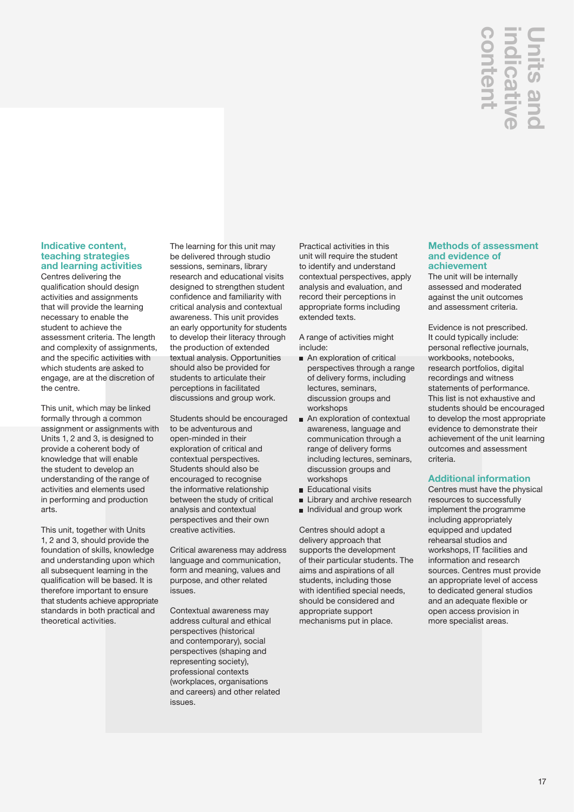## **Units and**  nten licat

## **Indicative content, teaching strategies and learning activities**

Centres delivering the qualification should design activities and assignments that will provide the learning necessary to enable the student to achieve the assessment criteria. The length and complexity of assignments, and the specific activities with which students are asked to engage, are at the discretion of the centre.

This unit, which may be linked formally through a common assignment or assignments with Units 1, 2 and 3, is designed to provide a coherent body of knowledge that will enable the student to develop an understanding of the range of activities and elements used in performing and production arts.

This unit, together with Units 1, 2 and 3, should provide the foundation of skills, knowledge and understanding upon which all subsequent learning in the qualification will be based. It is therefore important to ensure that students achieve appropriate standards in both practical and theoretical activities.

The learning for this unit may be delivered through studio sessions, seminars, library research and educational visits designed to strengthen student confidence and familiarity with critical analysis and contextual awareness. This unit provides an early opportunity for students to develop their literacy through the production of extended textual analysis. Opportunities should also be provided for students to articulate their perceptions in facilitated discussions and group work.

Students should be encouraged to be adventurous and open-minded in their exploration of critical and contextual perspectives. Students should also be encouraged to recognise the informative relationship between the study of critical analysis and contextual perspectives and their own creative activities.

Critical awareness may address language and communication, form and meaning, values and purpose, and other related issues.

Contextual awareness may address cultural and ethical perspectives (historical and contemporary), social perspectives (shaping and representing society), professional contexts (workplaces, organisations and careers) and other related issues.

Practical activities in this unit will require the student to identify and understand contextual perspectives, apply analysis and evaluation, and record their perceptions in appropriate forms including extended texts.

A range of activities might include:

- An exploration of critical perspectives through a range of delivery forms, including lectures, seminars, discussion groups and workshops
- An exploration of contextual awareness, language and communication through a range of delivery forms including lectures, seminars, discussion groups and workshops
- **Educational visits**
- **Library and archive research**
- **Individual and group work**

Centres should adopt a delivery approach that supports the development of their particular students. The aims and aspirations of all students, including those with identified special needs, should be considered and appropriate support mechanisms put in place.

## **Methods of assessment and evidence of achievement**

The unit will be internally assessed and moderated against the unit outcomes and assessment criteria.

Evidence is not prescribed. It could typically include: personal reflective journals, workbooks, notebooks, research portfolios, digital recordings and witness statements of performance. This list is not exhaustive and students should be encouraged to develop the most appropriate evidence to demonstrate their achievement of the unit learning outcomes and assessment criteria.

## **Additional information**

**CONSTRANS (THERE)**<br> **CONSTRANS (THERE)**<br> **CONSTRANS (THERE)**<br> **CONSTRANS (THERE)**<br> **CONSTRANS (THERE)**<br> **CONSTRANS (THERE)**<br> **CONSTRANS (THERE)**<br> **CONSTRANS (THERE)**<br> **CONSTRANS (THERE)**<br> **CONSTRANS (THERE)**<br> **CONSTRANS (** Centres must have the physical resources to successfully implement the programme including appropriately equipped and updated rehearsal studios and workshops, IT facilities and information and research sources. Centres must provide an appropriate level of access to dedicated general studios and an adequate flexible or open access provision in more specialist areas.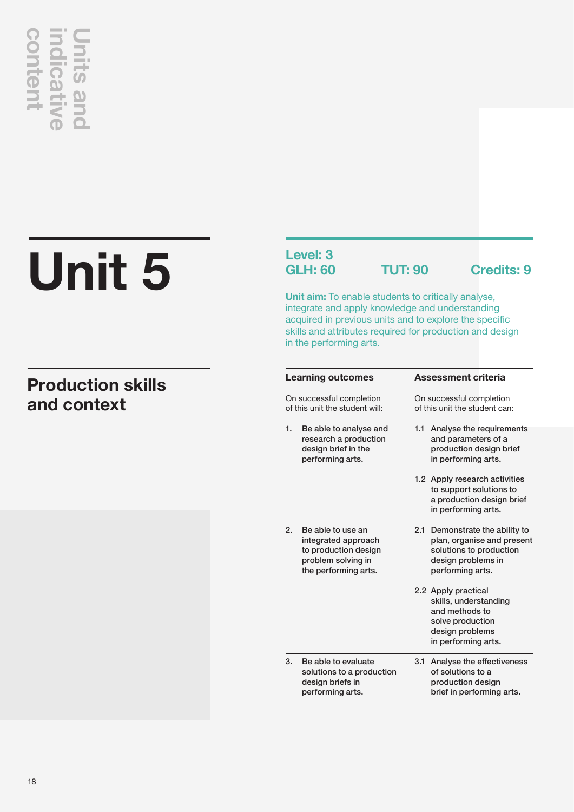## **content indicative Units and CONTENT**

## **Unit 5**

## **Production skills and context**

## **Level: 3**

**GLH: 60 TUT: 90 Credits: 9**

**Unit aim:** To enable students to critically analyse, integrate and apply knowledge and understanding acquired in previous units and to explore the specific skills and attributes required for production and design in the performing arts.

|    | <b>Learning outcomes</b>                                                                                       |                                                           | <b>Assessment criteria</b>                                                                                                    |  |  |
|----|----------------------------------------------------------------------------------------------------------------|-----------------------------------------------------------|-------------------------------------------------------------------------------------------------------------------------------|--|--|
|    | On successful completion<br>of this unit the student will:                                                     | On successful completion<br>of this unit the student can: |                                                                                                                               |  |  |
| 1. | Be able to analyse and<br>research a production<br>design brief in the<br>performing arts.                     | 1.1                                                       | Analyse the requirements<br>and parameters of a<br>production design brief<br>in performing arts.                             |  |  |
|    |                                                                                                                |                                                           | 1.2 Apply research activities<br>to support solutions to<br>a production design brief<br>in performing arts.                  |  |  |
| 2. | Be able to use an<br>integrated approach<br>to production design<br>problem solving in<br>the performing arts. | 2.1                                                       | Demonstrate the ability to<br>plan, organise and present<br>solutions to production<br>design problems in<br>performing arts. |  |  |
|    |                                                                                                                |                                                           | 2.2 Apply practical<br>skills, understanding<br>and methods to<br>solve production<br>design problems<br>in performing arts.  |  |  |
| 3. | Be able to evaluate<br>solutions to a production<br>design briefs in<br>performing arts.                       | 3.1                                                       | Analyse the effectiveness<br>of solutions to a<br>production design<br>brief in performing arts.                              |  |  |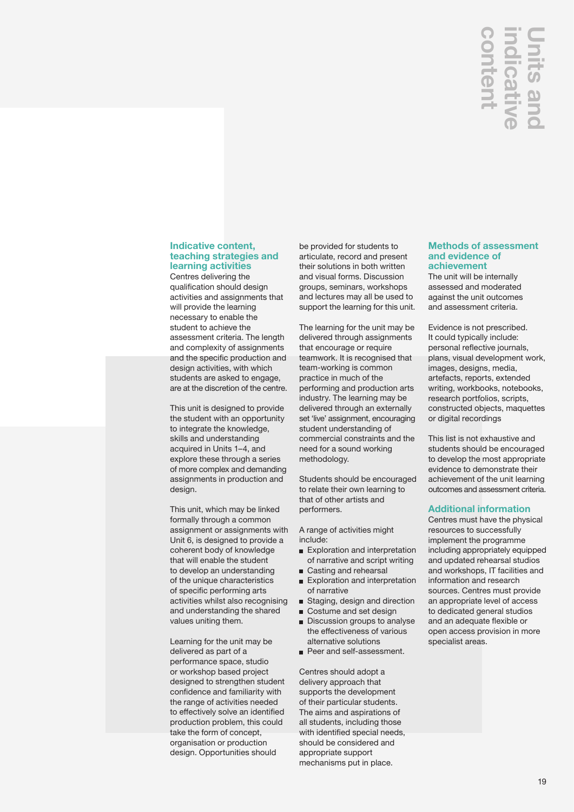## **indicative Units and**  nten dicat

### **Indicative content, teaching strategies and learning activities**

Centres delivering the qualification should design activities and assignments that will provide the learning necessary to enable the student to achieve the assessment criteria. The length and complexity of assignments and the specific production and design activities, with which students are asked to engage, are at the discretion of the centre.

This unit is designed to provide the student with an opportunity to integrate the knowledge, skills and understanding acquired in Units 1–4, and explore these through a series of more complex and demanding assignments in production and design.

This unit, which may be linked formally through a common assignment or assignments with Unit 6, is designed to provide a coherent body of knowledge that will enable the student to develop an understanding of the unique characteristics of specific performing arts activities whilst also recognising and understanding the shared values uniting them.

Learning for the unit may be delivered as part of a performance space, studio or workshop based project designed to strengthen student confidence and familiarity with the range of activities needed to effectively solve an identified production problem, this could take the form of concept, organisation or production design. Opportunities should

be provided for students to articulate, record and present their solutions in both written and visual forms. Discussion groups, seminars, workshops and lectures may all be used to support the learning for this unit.

The learning for the unit may be delivered through assignments that encourage or require teamwork. It is recognised that team-working is common practice in much of the performing and production arts industry. The learning may be delivered through an externally set 'live' assignment, encouraging student understanding of commercial constraints and the need for a sound working methodology.

Students should be encouraged to relate their own learning to that of other artists and performers.

A range of activities might include:

- Exploration and interpretation of narrative and script writing
- Casting and rehearsal
- Exploration and interpretation of narrative
- Staging, design and direction
- Costume and set design
- Discussion groups to analyse the effectiveness of various alternative solutions
- Peer and self-assessment.

Centres should adopt a delivery approach that supports the development of their particular students. The aims and aspirations of all students, including those with identified special needs, should be considered and appropriate support mechanisms put in place.

## **Methods of assessment and evidence of achievement**

The unit will be internally assessed and moderated against the unit outcomes and assessment criteria.

Evidence is not prescribed. It could typically include: personal reflective journals, plans, visual development work, images, designs, media, artefacts, reports, extended writing, workbooks, notebooks, research portfolios, scripts, constructed objects, maquettes or digital recordings

This list is not exhaustive and students should be encouraged to develop the most appropriate evidence to demonstrate their achievement of the unit learning outcomes and assessment criteria.

## **Additional information**

**Methods of ass<br>
and evidence of assumption**<br> **Specialist areas.**<br> **Contexnent**<br>
The unit will be interesting and motographs are unit our and assessment critically in<br>
personal reflective<br>
plans, visual develvinages, desig Centres must have the physical resources to successfully implement the programme including appropriately equipped and updated rehearsal studios and workshops, IT facilities and information and research sources. Centres must provide an appropriate level of access to dedicated general studios and an adequate flexible or open access provision in more specialist areas.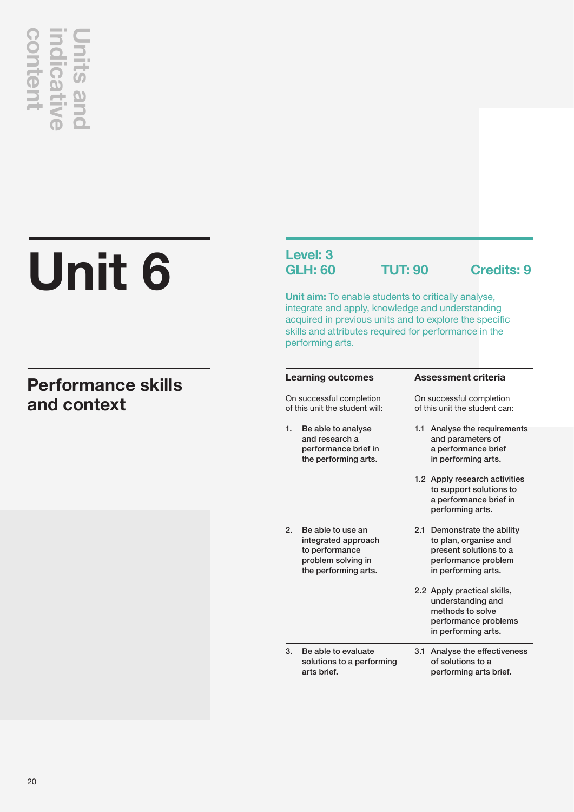# **and content of the Content of Strategier Content**<br> **indicative Strategier - And Context**<br> **and context**

## **Unit 6**

## **Performance skills**

## **Level: 3**

**GLH: 60 TUT: 90 Credits: 9**

**Unit aim:** To enable students to critically analyse, integrate and apply, knowledge and understanding acquired in previous units and to explore the specific skills and attributes required for performance in the performing arts.

|                                                            | <b>Learning outcomes</b>                                                                                 | <b>Assessment criteria</b>                                                                                                   |                          |  |
|------------------------------------------------------------|----------------------------------------------------------------------------------------------------------|------------------------------------------------------------------------------------------------------------------------------|--------------------------|--|
| On successful completion<br>of this unit the student will: |                                                                                                          | On successful completion<br>of this unit the student can:                                                                    |                          |  |
| 1.                                                         | Be able to analyse<br>and research a<br>performance brief in<br>the performing arts.                     | 1.1<br>and parameters of<br>a performance brief<br>in performing arts.                                                       | Analyse the requirements |  |
|                                                            |                                                                                                          | 1.2 Apply research activities<br>a performance brief in<br>performing arts.                                                  | to support solutions to  |  |
| 2.                                                         | Be able to use an<br>integrated approach<br>to performance<br>problem solving in<br>the performing arts. | 2.1 Demonstrate the ability<br>to plan, organise and<br>present solutions to a<br>performance problem<br>in performing arts. |                          |  |
|                                                            |                                                                                                          | 2.2 Apply practical skills,<br>understanding and<br>methods to solve<br>in performing arts.                                  | performance problems     |  |
| 3.                                                         | Be able to evaluate<br>solutions to a performing<br>arts brief.                                          | 3.1 Analyse the effectiveness<br>of solutions to a<br>performing arts brief.                                                 |                          |  |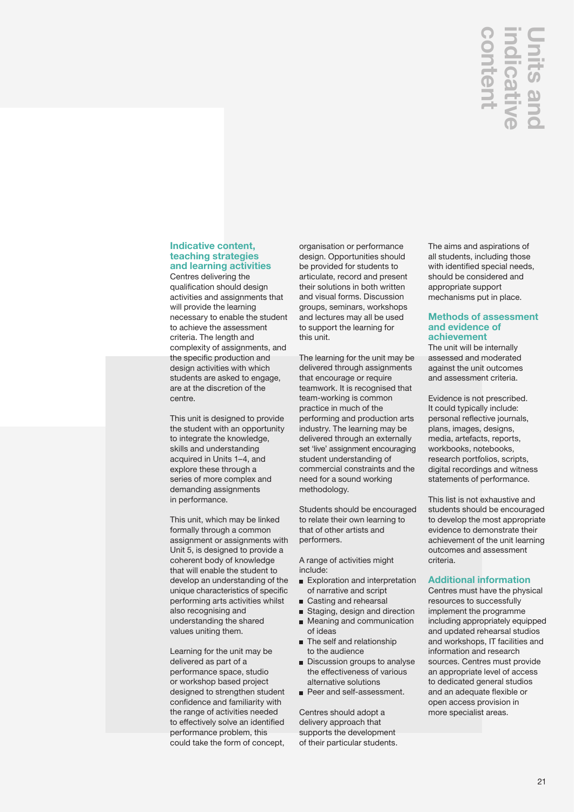## **Units and**  nter

## **Indicative content, teaching strategies and learning activities**

Centres delivering the qualification should design activities and assignments that will provide the learning necessary to enable the student to achieve the assessment criteria. The length and complexity of assignments, and the specific production and design activities with which students are asked to engage, are at the discretion of the centre.

This unit is designed to provide the student with an opportunity to integrate the knowledge, skills and understanding acquired in Units 1–4, and explore these through a series of more complex and demanding assignments in performance.

This unit, which may be linked formally through a common assignment or assignments with Unit 5, is designed to provide a coherent body of knowledge that will enable the student to develop an understanding of the unique characteristics of specific performing arts activities whilst also recognising and understanding the shared values uniting them.

Learning for the unit may be delivered as part of a performance space, studio or workshop based project designed to strengthen student confidence and familiarity with the range of activities needed to effectively solve an identified performance problem, this could take the form of concept, organisation or performance design. Opportunities should be provided for students to articulate, record and present their solutions in both written and visual forms. Discussion groups, seminars, workshops and lectures may all be used to support the learning for this unit.

The learning for the unit may be delivered through assignments that encourage or require teamwork. It is recognised that team-working is common practice in much of the performing and production arts industry. The learning may be delivered through an externally set 'live' assignment encouraging student understanding of commercial constraints and the need for a sound working methodology.

Students should be encouraged to relate their own learning to that of other artists and performers.

A range of activities might include:

- Exploration and interpretation of narrative and script
- Casting and rehearsal
- Staging, design and direction
- **Meaning and communication** of ideas
- **n** The self and relationship to the audience
- Discussion groups to analyse the effectiveness of various alternative solutions
- Peer and self-assessment.

Centres should adopt a delivery approach that supports the development of their particular students. The aims and aspirations of all students, including those with identified special needs, should be considered and appropriate support mechanisms put in place.

## **Methods of assessment and evidence of achievement**

The unit will be internally assessed and moderated against the unit outcomes and assessment criteria.

Evidence is not prescribed. It could typically include: personal reflective journals, plans, images, designs, media, artefacts, reports, workbooks, notebooks, research portfolios, scripts, digital recordings and witness statements of performance.

This list is not exhaustive and students should be encouraged to develop the most appropriate evidence to demonstrate their achievement of the unit learning outcomes and assessment criteria.

## **Additional information**

Centres must have the physical resources to successfully implement the programme including appropriately equipped and updated rehearsal studios and workshops, IT facilities and information and research sources. Centres must provide an appropriate level of access to dedicated general studios and an adequate flexible or open access provision in **CONTRACT CONTRACT CONTRACT CONTRACT CONTRACT CONTRACT CONTRACT CONTRACT CONTRACT CONTRACT CONTRACT CONTRACT CONTRACT CONTRACT CONTRACT CONTRACT CONTRACT CONTRACT CONTRACT CONTRACT CONTRACT CONTRACT CONTRACT CONTRACT CONTR**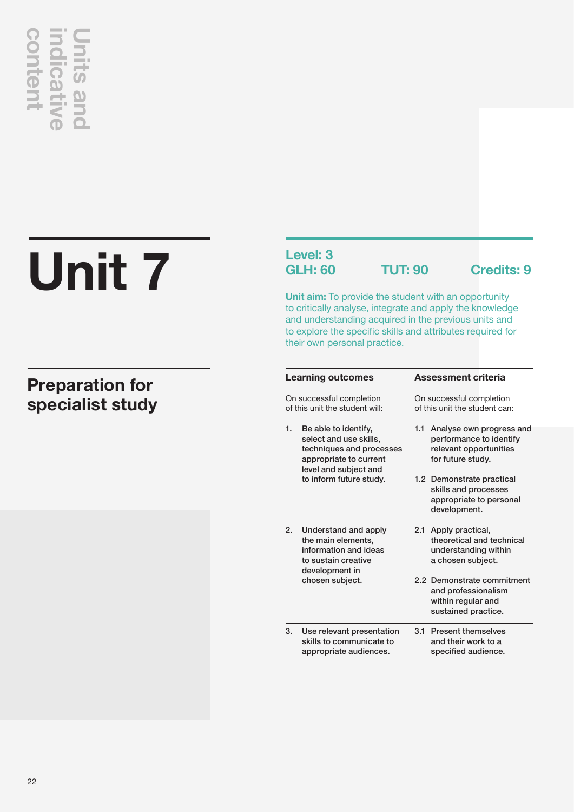# **Unit 7 Specialist study**<br> **contractive Section**<br> **contractive Unit 7**

## **Preparation for**

## **Level: 3**

**GLH: 60 TUT: 90 Credits: 9**

**Unit aim:** To provide the student with an opportunity to critically analyse, integrate and apply the knowledge and understanding acquired in the previous units and to explore the specific skills and attributes required for their own personal practice.

|    | Learning outcomes                                                                                                             | <b>Assessment criteria</b> |                                                                                                    |  |
|----|-------------------------------------------------------------------------------------------------------------------------------|----------------------------|----------------------------------------------------------------------------------------------------|--|
|    | On successful completion<br>of this unit the student will:                                                                    |                            | On successful completion<br>of this unit the student can:                                          |  |
| 1. | Be able to identify,<br>select and use skills,<br>techniques and processes<br>appropriate to current<br>level and subject and | 1.1                        | Analyse own progress and<br>performance to identify<br>relevant opportunities<br>for future study. |  |
|    | to inform future study.                                                                                                       |                            | 1.2 Demonstrate practical<br>skills and processes<br>appropriate to personal<br>development.       |  |
| 2. | Understand and apply<br>the main elements,<br>information and ideas<br>to sustain creative<br>development in                  |                            | 2.1 Apply practical,<br>theoretical and technical<br>understanding within<br>a chosen subject.     |  |
|    | chosen subject.                                                                                                               |                            | 2.2 Demonstrate commitment<br>and professionalism<br>within regular and<br>sustained practice.     |  |
| 3. | Use relevant presentation<br>skills to communicate to<br>appropriate audiences.                                               | 3.1                        | <b>Present themselves</b><br>and their work to a<br>specified audience.                            |  |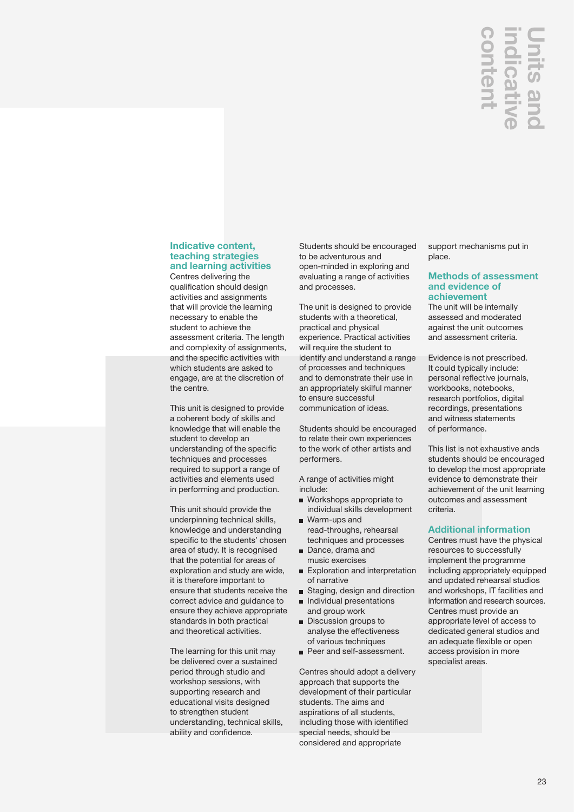## **indicative Units and**  nten **licat**

## **Indicative content, teaching strategies and learning activities**

Centres delivering the qualification should design activities and assignments that will provide the learning necessary to enable the student to achieve the assessment criteria. The length and complexity of assignments, and the specific activities with which students are asked to engage, are at the discretion of the centre.

This unit is designed to provide a coherent body of skills and knowledge that will enable the student to develop an understanding of the specific techniques and processes required to support a range of activities and elements used in performing and production.

This unit should provide the underpinning technical skills, knowledge and understanding specific to the students' chosen area of study. It is recognised that the potential for areas of exploration and study are wide, it is therefore important to ensure that students receive the correct advice and guidance to ensure they achieve appropriate standards in both practical and theoretical activities.

The learning for this unit may be delivered over a sustained period through studio and workshop sessions, with supporting research and educational visits designed to strengthen student understanding, technical skills, ability and confidence.

Students should be encouraged to be adventurous and open-minded in exploring and evaluating a range of activities and processes.

The unit is designed to provide students with a theoretical, practical and physical experience. Practical activities will require the student to identify and understand a range of processes and techniques and to demonstrate their use in an appropriately skilful manner to ensure successful communication of ideas.

Students should be encouraged to relate their own experiences to the work of other artists and performers.

A range of activities might include:

- Workshops appropriate to individual skills development
- Warm-ups and read-throughs, rehearsal techniques and processes
- Dance, drama and music exercises
- Exploration and interpretation of narrative
- Staging, design and direction
- Individual presentations and group work
- **Discussion groups to** analyse the effectiveness of various techniques
- Peer and self-assessment.

Centres should adopt a delivery approach that supports the development of their particular students. The aims and aspirations of all students, including those with identified special needs, should be considered and appropriate

support mechanisms put in place.

## **Methods of assessment and evidence of achievement**

The unit will be internally assessed and moderated against the unit outcomes and assessment criteria.

Evidence is not prescribed. It could typically include: personal reflective journals, workbooks, notebooks, research portfolios, digital recordings, presentations and witness statements of performance.

This list is not exhaustive ands students should be encouraged to develop the most appropriate evidence to demonstrate their achievement of the unit learning outcomes and assessment criteria.

## **Additional information**

**CONTROM SETT ART CONTROLLAR SURFACTION SUPPORT CONTROLLAR SURFACTION CONTROLLAR SURFACTION DRIVIDED AND ART DESCRIPT AND SURFACT DRIVIDED AND SURFACTION SURFACTION CONTROLLAR SURFACTION CONTROLLAR SURFACTION CONTROLLAR SU** Centres must have the physical resources to successfully implement the programme including appropriately equipped and updated rehearsal studios and workshops, IT facilities and information and research sources. Centres must provide an appropriate level of access to dedicated general studios and an adequate flexible or open access provision in more specialist areas.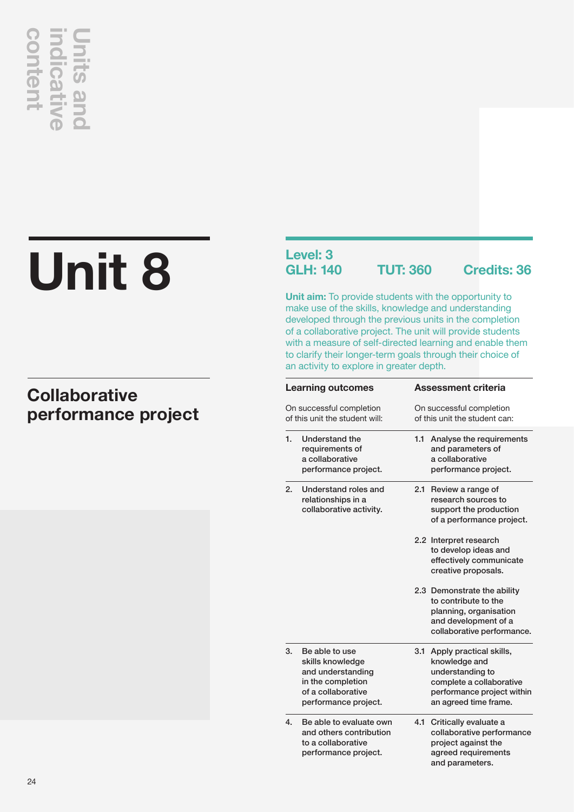# **Unit 8 performance project**<br> **collaborative**<br> **performance project**

## **Collaborative**

## **Level: 3<br>GLH: 140**

**GLH: 140 TUT: 360 Credits: 36**

**Unit aim:** To provide students with the opportunity to make use of the skills, knowledge and understanding developed through the previous units in the completion of a collaborative project. The unit will provide students with a measure of self-directed learning and enable them to clarify their longer-term goals through their choice of an activity to explore in greater depth.

|    | <b>Learning outcomes</b>                                                                                                   |                                                           | <b>Assessment criteria</b>                                                                                                                          |
|----|----------------------------------------------------------------------------------------------------------------------------|-----------------------------------------------------------|-----------------------------------------------------------------------------------------------------------------------------------------------------|
|    | On successful completion<br>of this unit the student will:                                                                 | On successful completion<br>of this unit the student can: |                                                                                                                                                     |
| 1. | Understand the<br>requirements of<br>a collaborative<br>performance project.                                               | 1.1                                                       | Analyse the requirements<br>and parameters of<br>a collaborative<br>performance project.                                                            |
| 2. | Understand roles and<br>relationships in a<br>collaborative activity.                                                      |                                                           | 2.1 Review a range of<br>research sources to<br>support the production<br>of a performance project.                                                 |
|    |                                                                                                                            |                                                           | 2.2 Interpret research<br>to develop ideas and<br>effectively communicate<br>creative proposals.                                                    |
|    |                                                                                                                            |                                                           | 2.3 Demonstrate the ability<br>to contribute to the<br>planning, organisation<br>and development of a<br>collaborative performance.                 |
| 3. | Be able to use<br>skills knowledge<br>and understanding<br>in the completion<br>of a collaborative<br>performance project. |                                                           | 3.1 Apply practical skills,<br>knowledge and<br>understanding to<br>complete a collaborative<br>performance project within<br>an agreed time frame. |
| 4. | Be able to evaluate own<br>and others contribution<br>to a collaborative<br>performance project.                           |                                                           | 4.1 Critically evaluate a<br>collaborative performance<br>project against the<br>agreed requirements<br>and parameters.                             |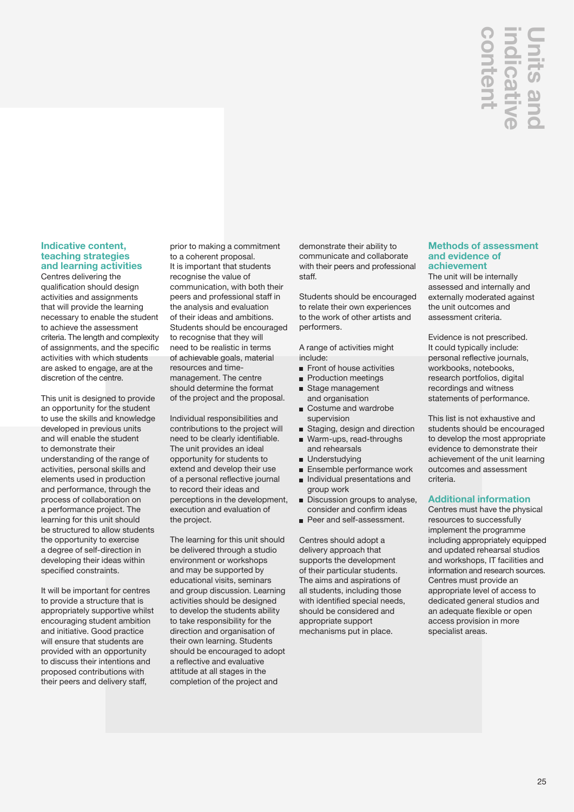## **indicative Units and**  nten dicat

## **Indicative content, teaching strategies and learning activities**

Centres delivering the qualification should design activities and assignments that will provide the learning necessary to enable the student to achieve the assessment criteria. The length and complexity of assignments, and the specific activities with which students are asked to engage, are at the discretion of the centre.

This unit is designed to provide an opportunity for the student to use the skills and knowledge developed in previous units and will enable the student to demonstrate their understanding of the range of activities, personal skills and elements used in production and performance, through the process of collaboration on a performance project. The learning for this unit should be structured to allow students the opportunity to exercise a degree of self-direction in developing their ideas within specified constraints.

It will be important for centres to provide a structure that is appropriately supportive whilst encouraging student ambition and initiative. Good practice will ensure that students are provided with an opportunity to discuss their intentions and proposed contributions with their peers and delivery staff,

prior to making a commitment to a coherent proposal. It is important that students recognise the value of communication, with both their peers and professional staff in the analysis and evaluation of their ideas and ambitions. Students should be encouraged to recognise that they will need to be realistic in terms of achievable goals, material resources and timemanagement. The centre should determine the format of the project and the proposal.

Individual responsibilities and contributions to the project will need to be clearly identifiable. The unit provides an ideal opportunity for students to extend and develop their use of a personal reflective journal to record their ideas and perceptions in the development, execution and evaluation of the project.

The learning for this unit should be delivered through a studio environment or workshops and may be supported by educational visits, seminars and group discussion. Learning activities should be designed to develop the students ability to take responsibility for the direction and organisation of their own learning. Students should be encouraged to adopt a reflective and evaluative attitude at all stages in the completion of the project and

demonstrate their ability to communicate and collaborate with their peers and professional staff.

Students should be encouraged to relate their own experiences to the work of other artists and performers.

A range of activities might include:

- Front of house activities
- **Production meetings** Stage management
- and organisation Costume and wardrobe supervision
- Staging, design and direction
- Warm-ups, read-throughs and rehearsals
- **Understudying**
- **Ensemble performance work Individual presentations and**
- group work
- Discussion groups to analyse, consider and confirm ideas
- Peer and self-assessment.

Centres should adopt a delivery approach that supports the development of their particular students. The aims and aspirations of all students, including those with identified special needs, should be considered and appropriate support mechanisms put in place.

## **Methods of assessment and evidence of achievement**

The unit will be internally assessed and internally and externally moderated against the unit outcomes and assessment criteria.

Evidence is not prescribed. It could typically include: personal reflective journals, workbooks, notebooks, research portfolios, digital recordings and witness statements of performance.

This list is not exhaustive and students should be encouraged to develop the most appropriate evidence to demonstrate their achievement of the unit learning outcomes and assessment criteria.

## **Additional information**

Centres must have the physical resources to successfully implement the programme including appropriately equipped and updated rehearsal studios and workshops, IT facilities and information and research sources. Centres must provide an appropriate level of access to dedicated general studios and an adequate flexible or open access provision in more<br>specialist areas. specialist areas.**content**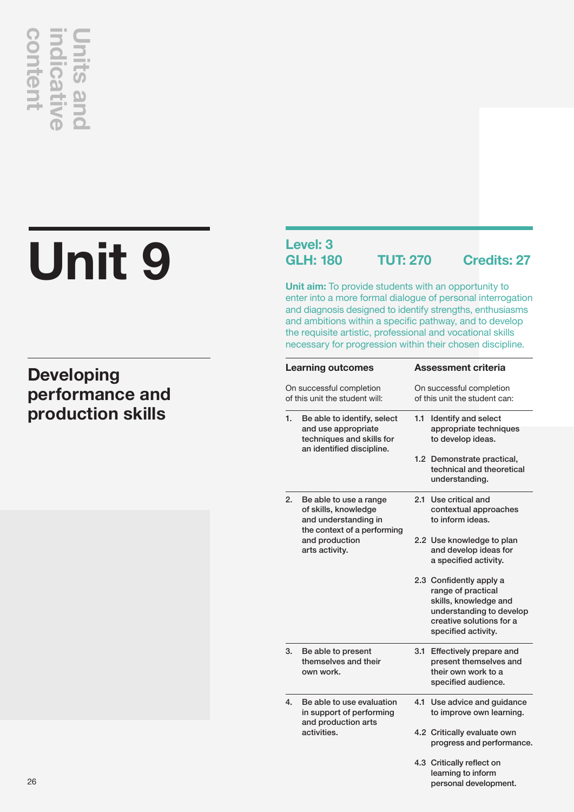# **Unit 9 production skills**<br> **production skills**<br> **production skills**

## **Developing performance and**

## **Level: 3**

**GLH: 180 TUT: 270 Credits: 27**

**Unit aim:** To provide students with an opportunity to enter into a more formal dialogue of personal interrogation and diagnosis designed to identify strengths, enthusiasms and ambitions within a specific pathway, and to develop the requisite artistic, professional and vocational skills necessary for progression within their chosen discipline.

|                                                            | <b>Learning outcomes</b>                                                      |                                                           | Assessment criteria                                  |  |  |
|------------------------------------------------------------|-------------------------------------------------------------------------------|-----------------------------------------------------------|------------------------------------------------------|--|--|
| On successful completion<br>of this unit the student will: |                                                                               | On successful completion<br>of this unit the student can: |                                                      |  |  |
| 1.                                                         | Be able to identify, select                                                   | 1.1                                                       | <b>Identify and select</b>                           |  |  |
|                                                            | and use appropriate<br>techniques and skills for<br>an identified discipline. |                                                           | appropriate techniques<br>to develop ideas.          |  |  |
|                                                            |                                                                               |                                                           | 1.2 Demonstrate practical,                           |  |  |
|                                                            |                                                                               |                                                           | technical and theoretical                            |  |  |
|                                                            |                                                                               |                                                           | understanding.                                       |  |  |
| 2.                                                         | Be able to use a range                                                        | 2.1                                                       | Use critical and                                     |  |  |
|                                                            | of skills, knowledge                                                          |                                                           | contextual approaches                                |  |  |
|                                                            | and understanding in<br>the context of a performing                           |                                                           | to inform ideas.                                     |  |  |
|                                                            | and production                                                                |                                                           | 2.2 Use knowledge to plan                            |  |  |
|                                                            | arts activity.                                                                |                                                           | and develop ideas for                                |  |  |
|                                                            |                                                                               |                                                           | a specified activity.                                |  |  |
|                                                            |                                                                               |                                                           | 2.3 Confidently apply a                              |  |  |
|                                                            |                                                                               |                                                           | range of practical                                   |  |  |
|                                                            |                                                                               |                                                           | skills, knowledge and                                |  |  |
|                                                            |                                                                               |                                                           | understanding to develop<br>creative solutions for a |  |  |
|                                                            |                                                                               |                                                           | specified activity.                                  |  |  |
|                                                            |                                                                               |                                                           |                                                      |  |  |
| 3.                                                         | Be able to present                                                            | 3.1                                                       | Effectively prepare and                              |  |  |
|                                                            | themselves and their                                                          |                                                           | present themselves and                               |  |  |
|                                                            | own work.                                                                     |                                                           | their own work to a<br>specified audience.           |  |  |
|                                                            |                                                                               |                                                           |                                                      |  |  |
| $\overline{4}$ .                                           | Be able to use evaluation                                                     | 4.1                                                       | Use advice and guidance                              |  |  |
|                                                            | in support of performing<br>and production arts                               |                                                           | to improve own learning.                             |  |  |
|                                                            | activities.                                                                   |                                                           | 4.2 Critically evaluate own                          |  |  |
|                                                            |                                                                               |                                                           | progress and performance.                            |  |  |
|                                                            |                                                                               |                                                           | 4.3 Critically reflect on                            |  |  |
|                                                            |                                                                               |                                                           | learning to inform                                   |  |  |
|                                                            |                                                                               |                                                           | personal development.                                |  |  |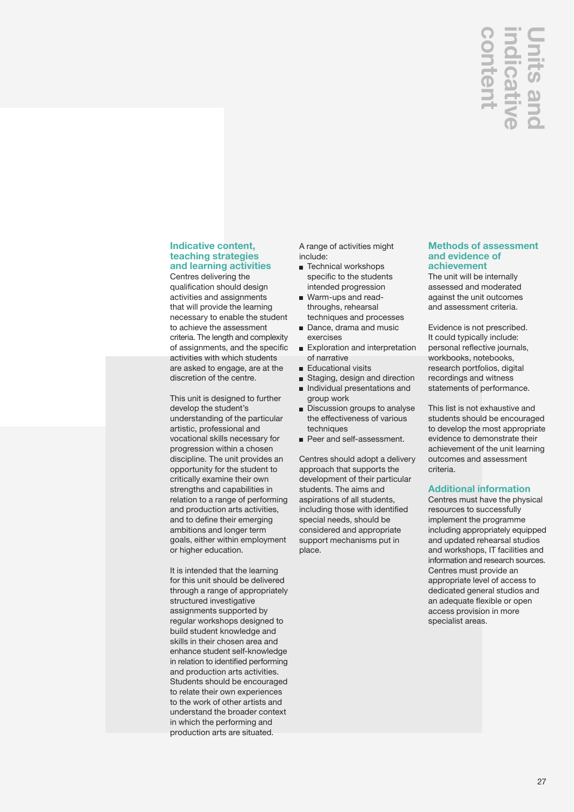## **indicative Units and**  nten licat

## **Indicative content, teaching strategies and learning activities**

Centres delivering the qualification should design activities and assignments that will provide the learning necessary to enable the student to achieve the assessment criteria. The length and complexity of assignments, and the specific activities with which students are asked to engage, are at the discretion of the centre.

This unit is designed to further develop the student's understanding of the particular artistic, professional and vocational skills necessary for progression within a chosen discipline. The unit provides an opportunity for the student to critically examine their own strengths and capabilities in relation to a range of performing and production arts activities, and to define their emerging ambitions and longer term goals, either within employment or higher education.

It is intended that the learning for this unit should be delivered through a range of appropriately structured investigative assignments supported by regular workshops designed to build student knowledge and skills in their chosen area and enhance student self-knowledge in relation to identified performing and production arts activities. Students should be encouraged to relate their own experiences to the work of other artists and understand the broader context in which the performing and production arts are situated.

A range of activities might include:

- Technical workshops specific to the students intended progression
- Warm-ups and readthroughs, rehearsal techniques and processes
- Dance, drama and music exercises
- Exploration and interpretation of narrative
- **Educational visits**
- Staging, design and direction Individual presentations and
- group work
- Discussion groups to analyse the effectiveness of various techniques
- Peer and self-assessment.

Centres should adopt a delivery approach that supports the development of their particular students. The aims and aspirations of all students, including those with identified special needs, should be considered and appropriate support mechanisms put in place.

## **Methods of assessment and evidence of achievement**

The unit will be internally assessed and moderated against the unit outcomes and assessment criteria.

Evidence is not prescribed. It could typically include: personal reflective journals, workbooks, notebooks, research portfolios, digital recordings and witness statements of performance.

This list is not exhaustive and students should be encouraged to develop the most appropriate evidence to demonstrate their achievement of the unit learning outcomes and assessment criteria.

## **Additional information**

**Specialist areas.**<br> **Specialist areas.**<br> **Specialist areas.**<br> **CO**<br> **CO**<br> **CO**<br> **CO**<br> **CO**<br> **CO**<br> **CO**<br> **CO**<br> **CO**<br> **CO**<br> **CO**<br> **CO**<br> **CO**<br> **CO**<br> **CO**<br> **CO**<br> **CO**<br> **CO**<br> **CO**<br> **CO**<br> **CO**<br> **CO**<br> **CO**<br> **CO**<br> **CO**<br> **CO**<br> **CO** Centres must have the physical resources to successfully implement the programme including appropriately equipped and updated rehearsal studios and workshops, IT facilities and information and research sources. Centres must provide an appropriate level of access to dedicated general studios and an adequate flexible or open access provision in more specialist areas.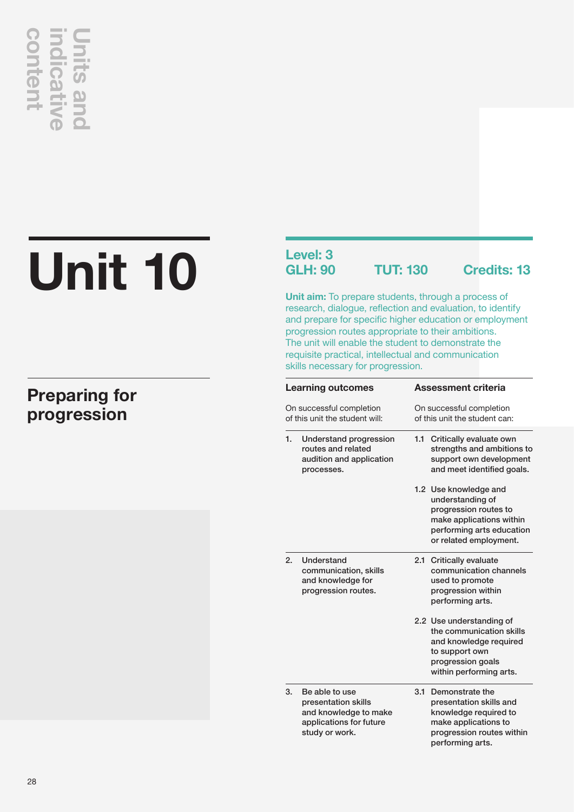# **progression**<br> **indicative <u>indicative</u><br>
Preparing for progression**

## **Unit 10**

## **Preparing for**

## **Level: 3**

**GLH: 90 TUT: 130 Credits: 13**

**Unit aim:** To prepare students, through a process of research, dialogue, reflection and evaluation, to identify and prepare for specific higher education or employment progression routes appropriate to their ambitions. The unit will enable the student to demonstrate the requisite practical, intellectual and communication skills necessary for progression.

| <b>Learning outcomes</b><br>On successful completion<br>of this unit the student will: |                                                                                                             | <b>Assessment criteria</b><br>On successful completion<br>of this unit the student can:                                                               |  |  |
|----------------------------------------------------------------------------------------|-------------------------------------------------------------------------------------------------------------|-------------------------------------------------------------------------------------------------------------------------------------------------------|--|--|
|                                                                                        |                                                                                                             |                                                                                                                                                       |  |  |
|                                                                                        |                                                                                                             | 1.2 Use knowledge and<br>understanding of<br>progression routes to<br>make applications within<br>performing arts education<br>or related employment. |  |  |
| 2.                                                                                     | Understand<br>communication, skills<br>and knowledge for<br>progression routes.                             | 2.1 Critically evaluate<br>communication channels<br>used to promote<br>progression within<br>performing arts.                                        |  |  |
|                                                                                        |                                                                                                             | 2.2 Use understanding of<br>the communication skills<br>and knowledge required<br>to support own<br>progression goals<br>within performing arts.      |  |  |
| 3.                                                                                     | Be able to use<br>presentation skills<br>and knowledge to make<br>applications for future<br>study or work. | 3.1<br>Demonstrate the<br>presentation skills and<br>knowledge required to<br>make applications to<br>progression routes within<br>performing arts.   |  |  |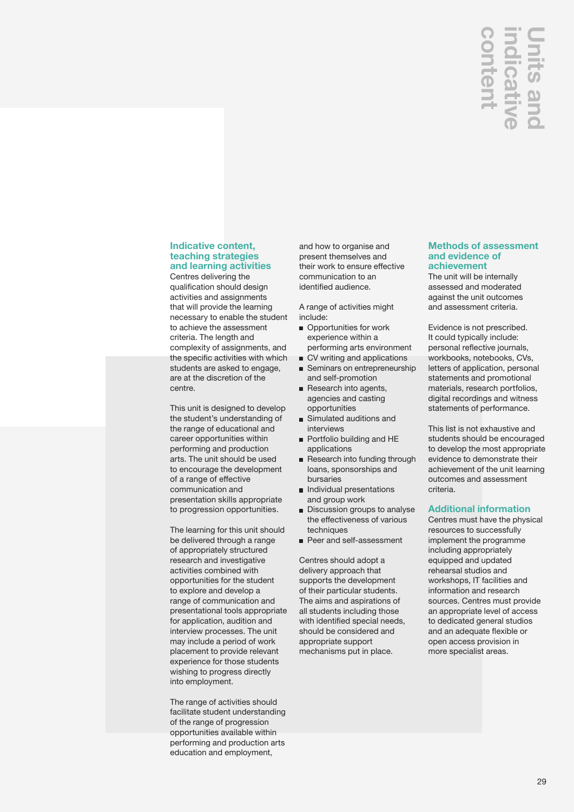## **Units and**  nten

## **Indicative content, teaching strategies and learning activities**

Centres delivering the qualification should design activities and assignments that will provide the learning necessary to enable the student to achieve the assessment criteria. The length and complexity of assignments, and the specific activities with which students are asked to engage, are at the discretion of the centre.

This unit is designed to develop the student's understanding of the range of educational and career opportunities within performing and production arts. The unit should be used to encourage the development of a range of effective communication and presentation skills appropriate to progression opportunities.

The learning for this unit should be delivered through a range of appropriately structured research and investigative activities combined with opportunities for the student to explore and develop a range of communication and presentational tools appropriate for application, audition and interview processes. The unit may include a period of work placement to provide relevant experience for those students wishing to progress directly into employment.

The range of activities should facilitate student understanding of the range of progression opportunities available within performing and production arts education and employment,

and how to organise and present themselves and their work to ensure effective communication to an identified audience.

A range of activities might include:

- Opportunities for work experience within a
- performing arts environment
- CV writing and applications ■ Seminars on entrepreneurship and self-promotion
- Research into agents, agencies and casting opportunities
- **Simulated auditions and** interviews
- **Portfolio building and HE** applications
- Research into funding through loans, sponsorships and bursaries
- Individual presentations and group work
- Discussion groups to analyse the effectiveness of various techniques
- Peer and self-assessment

Centres should adopt a delivery approach that supports the development of their particular students. The aims and aspirations of all students including those with identified special needs, should be considered and appropriate support mechanisms put in place.

## **Methods of assessment and evidence of achievement**

The unit will be internally assessed and moderated against the unit outcomes and assessment criteria.

Evidence is not prescribed. It could typically include: personal reflective journals, workbooks, notebooks, CVs, letters of application, personal statements and promotional materials, research portfolios, digital recordings and witness statements of performance.

This list is not exhaustive and students should be encouraged to develop the most appropriate evidence to demonstrate their achievement of the unit learning outcomes and assessment criteria.

## **Additional information**

**CONTROLLATE SETTLE CONTROLLATE SPECIES AND ANOTEST CONTROLLATE CONTROLLATE CONTROLLATE UNIT DETERMINENT THE unit will be internally assessed and moderated against the unit outcomes and assessment criteria. Evidence is not** Centres must have the physical resources to successfully implement the programme including appropriately equipped and updated rehearsal studios and workshops, IT facilities and information and research sources. Centres must provide an appropriate level of access to dedicated general studios and an adequate flexible or open access provision in more specialist areas.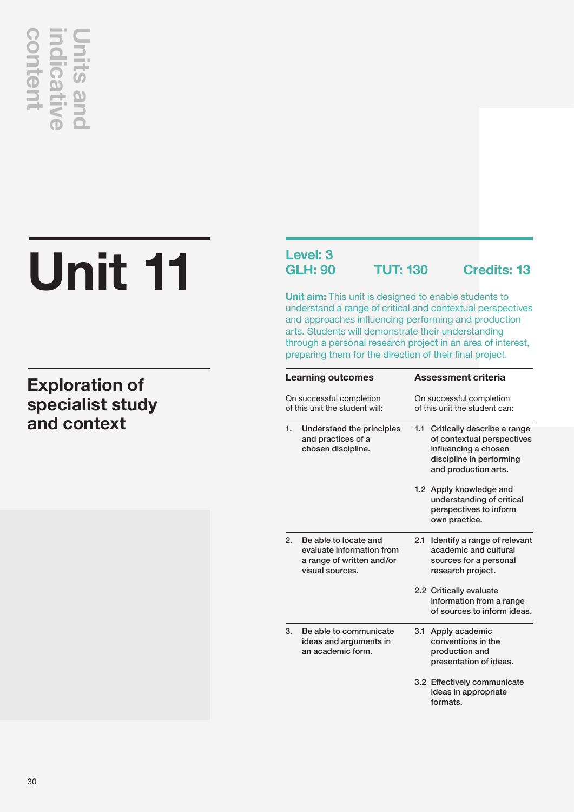# **and context**<br> **and context**<br> **and context**<br> **and context**

## **Unit 11**

## **Exploration of specialist study**

## **Level: 3**

**GLH: 90 TUT: 130 Credits: 13**

**Unit aim:** This unit is designed to enable students to understand a range of critical and contextual perspectives and approaches influencing performing and production arts. Students will demonstrate their understanding through a personal research project in an area of interest, preparing them for the direction of their final project.

| <b>Learning outcomes</b><br>On successful completion<br>of this unit the student will: |                                                                                                    | <b>Assessment criteria</b><br>On successful completion<br>of this unit the student can: |                                                                                                      |  |
|----------------------------------------------------------------------------------------|----------------------------------------------------------------------------------------------------|-----------------------------------------------------------------------------------------|------------------------------------------------------------------------------------------------------|--|
|                                                                                        |                                                                                                    |                                                                                         |                                                                                                      |  |
|                                                                                        |                                                                                                    |                                                                                         | 1.2 Apply knowledge and<br>understanding of critical<br>perspectives to inform<br>own practice.      |  |
| 2.                                                                                     | Be able to locate and<br>evaluate information from<br>a range of written and/or<br>visual sources. | 2.1                                                                                     | Identify a range of relevant<br>academic and cultural<br>sources for a personal<br>research project. |  |
|                                                                                        |                                                                                                    |                                                                                         | 2.2 Critically evaluate<br>information from a range<br>of sources to inform ideas.                   |  |
| 3.                                                                                     | Be able to communicate<br>ideas and arguments in<br>an academic form.                              | 3.1                                                                                     | Apply academic<br>conventions in the<br>production and<br>presentation of ideas.                     |  |
|                                                                                        |                                                                                                    | formats.                                                                                | 3.2 Effectively communicate<br>ideas in appropriate                                                  |  |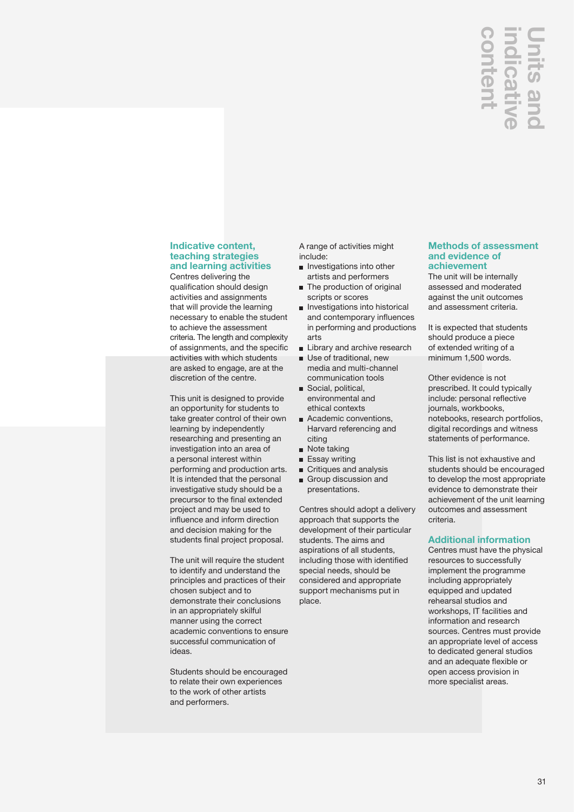## **Units and**  nter

## **Indicative content, teaching strategies and learning activities**

Centres delivering the qualification should design activities and assignments that will provide the learning necessary to enable the student to achieve the assessment criteria. The length and complexity of assignments, and the specific activities with which students are asked to engage, are at the discretion of the centre.

This unit is designed to provide an opportunity for students to take greater control of their own learning by independently researching and presenting an investigation into an area of a personal interest within performing and production arts. It is intended that the personal investigative study should be a precursor to the final extended project and may be used to influence and inform direction and decision making for the students final project proposal.

The unit will require the student to identify and understand the principles and practices of their chosen subject and to demonstrate their conclusions in an appropriately skilful manner using the correct academic conventions to ensure successful communication of ideas.

Students should be encouraged to relate their own experiences to the work of other artists and performers.

A range of activities might include:

- $\blacksquare$  Investigations into other artists and performers
- The production of original scripts or scores
- **Investigations into historical** and contemporary influences in performing and productions arts
- **Library and archive research**
- Use of traditional, new media and multi-channel communication tools Social, political,
- environmental and ethical contexts
- Academic conventions, Harvard referencing and citing
- Note taking
- **Essay writing**
- **Critiques and analysis**
- Group discussion and presentations.

Centres should adopt a delivery approach that supports the development of their particular students. The aims and aspirations of all students, including those with identified special needs, should be considered and appropriate support mechanisms put in place.

## **Methods of assessment and evidence of achievement**

The unit will be internally assessed and moderated against the unit outcomes and assessment criteria.

It is expected that students should produce a piece of extended writing of a minimum 1,500 words.

Other evidence is not prescribed. It could typically include: personal reflective journals, workbooks, notebooks, research portfolios, digital recordings and witness statements of performance.

This list is not exhaustive and students should be encouraged to develop the most appropriate evidence to demonstrate their achievement of the unit learning outcomes and assessment criteria.

## **Additional information**

Centres must have the physical resources to successfully implement the programme including appropriately equipped and updated rehearsal studios and workshops, IT facilities and information and research sources. Centres must provide an appropriate level of access to dedicated general studios and an adequate flexible or open access provision in **CONTROCTE CONTROLL CONTROLL CONTROLL CONTROLL CONTROLL CONTROLL CONTROLL CONTROLL CONTROLL CONTROLL CONTROLL CONTROLL CONTROLL CONTROLL CONTROLL CONTROLL CONTROLL CONTROLL CONTROLL CONTROLL CONTROLL CONTROLL CONTROLL CONT**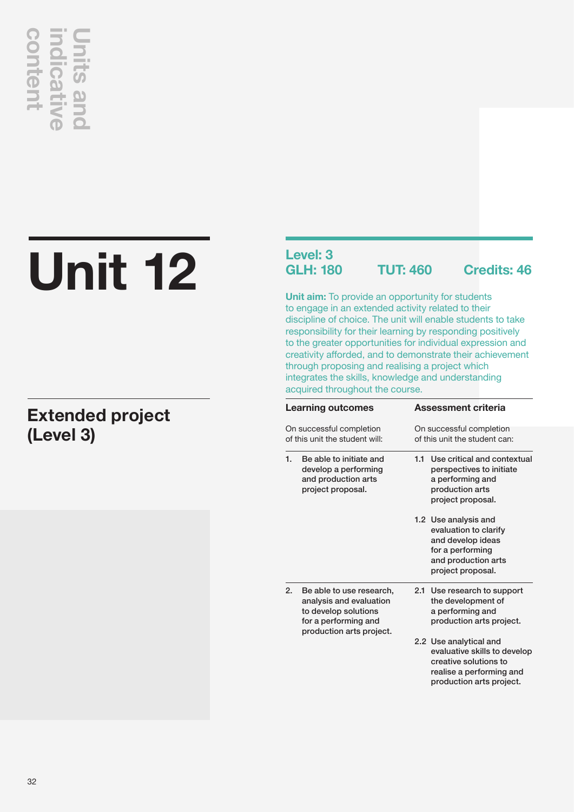## **content indicative Units and CONTENT**

## **Unit 12**

## **Extended project (Level 3)**

## **Level: 3**

**GLH: 180 TUT: 460 Credits: 46**

**Unit aim:** To provide an opportunity for students to engage in an extended activity related to their discipline of choice. The unit will enable students to take responsibility for their learning by responding positively to the greater opportunities for individual expression and creativity afforded, and to demonstrate their achievement through proposing and realising a project which integrates the skills, knowledge and understanding acquired throughout the course.

| <b>Learning outcomes</b>                                   |                                                                                                                                 | <b>Assessment criteria</b>                                                                                                              |  |  |
|------------------------------------------------------------|---------------------------------------------------------------------------------------------------------------------------------|-----------------------------------------------------------------------------------------------------------------------------------------|--|--|
| On successful completion<br>of this unit the student will: |                                                                                                                                 | On successful completion<br>of this unit the student can:                                                                               |  |  |
| 1.                                                         | Be able to initiate and<br>develop a performing<br>and production arts<br>project proposal.                                     | Use critical and contextual<br>1.1<br>perspectives to initiate<br>a performing and<br>production arts<br>project proposal.              |  |  |
|                                                            |                                                                                                                                 | 1.2 Use analysis and<br>evaluation to clarify<br>and develop ideas<br>for a performing<br>and production arts<br>project proposal.      |  |  |
| 2.                                                         | Be able to use research,<br>analysis and evaluation<br>to develop solutions<br>for a performing and<br>production arts project. | 2.1 Use research to support<br>the development of<br>a performing and<br>production arts project.                                       |  |  |
|                                                            |                                                                                                                                 | 2.2 Use analytical and<br>evaluative skills to develop<br>creative solutions to<br>realise a performing and<br>production arts project. |  |  |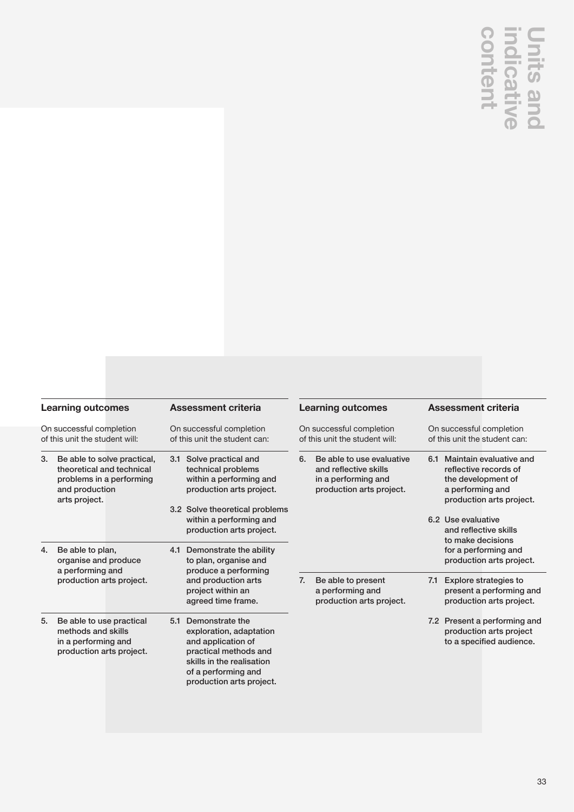## **Units and<br>indicative**

|    | <b>Learning outcomes</b><br>On successful completion                                                                                                                          | <b>Assessment criteria</b><br>On successful completion                                                                                                                                                                                                        |    | <b>Learning outcomes</b><br>On successful completion                                                                                    |     | <b>Assessment criteria</b><br>On successful completion                                                                                                                                                                                                  |
|----|-------------------------------------------------------------------------------------------------------------------------------------------------------------------------------|---------------------------------------------------------------------------------------------------------------------------------------------------------------------------------------------------------------------------------------------------------------|----|-----------------------------------------------------------------------------------------------------------------------------------------|-----|---------------------------------------------------------------------------------------------------------------------------------------------------------------------------------------------------------------------------------------------------------|
| 4. | of this unit the student will:<br>Be able to solve practical,<br>theoretical and technical<br>problems in a performing<br>and production<br>arts project.<br>Be able to plan, | of this unit the student can:<br>3.1 Solve practical and<br>technical problems<br>within a performing and<br>production arts project.<br>3.2 Solve theoretical problems<br>within a performing and<br>production arts project.<br>4.1 Demonstrate the ability | 6. | of this unit the student will:<br>Be able to use evaluative<br>and reflective skills<br>in a performing and<br>production arts project. |     | of this unit the student can:<br>6.1 Maintain evaluative and<br>reflective records of<br>the development of<br>a performing and<br>production arts project.<br>6.2 Use evaluative<br>and reflective skills<br>to make decisions<br>for a performing and |
|    | organise and produce<br>a performing and<br>production arts project.                                                                                                          | to plan, organise and<br>produce a performing<br>and production arts<br>project within an<br>agreed time frame.                                                                                                                                               | 7. | Be able to present<br>a performing and<br>production arts project.                                                                      | 7.1 | production arts project.<br><b>Explore strategies to</b><br>present a performing and<br>production arts project.                                                                                                                                        |
| 5. | Be able to use practical<br>methods and skills<br>in a performing and<br>production arts project.                                                                             | Demonstrate the<br>5.1<br>exploration, adaptation<br>and application of<br>practical methods and<br>skills in the realisation<br>of a performing and<br>production arts project.                                                                              |    |                                                                                                                                         |     | 7.2 Present a performing and<br>production arts project<br>to a specified audience.                                                                                                                                                                     |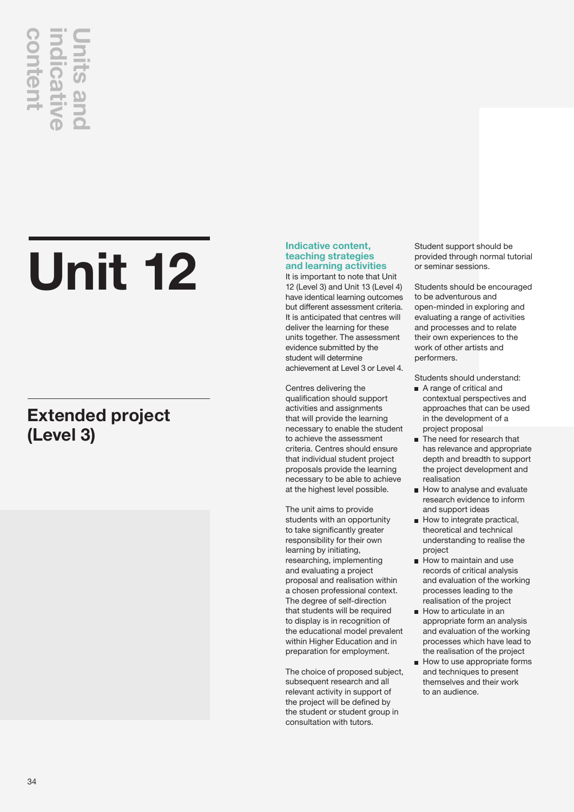## **content indicative Units and**

## **Unit 12**

## **Extended project (Level 3)**

## **Indicative content, teaching strategies and learning activities**

It is important to note that Unit 12 (Level 3) and Unit 13 (Level 4) have identical learning outcomes but different assessment criteria. It is anticipated that centres will deliver the learning for these units together. The assessment evidence submitted by the student will determine achievement at Level 3 or Level 4.

Centres delivering the qualification should support activities and assignments that will provide the learning necessary to enable the student to achieve the assessment criteria. Centres should ensure that individual student project proposals provide the learning necessary to be able to achieve at the highest level possible.

The unit aims to provide students with an opportunity to take significantly greater responsibility for their own learning by initiating, researching, implementing and evaluating a project proposal and realisation within a chosen professional context. The degree of self-direction that students will be required to display is in recognition of the educational model prevalent within Higher Education and in preparation for employment.

The choice of proposed subject, subsequent research and all relevant activity in support of the project will be defined by the student or student group in consultation with tutors.

Student support should be provided through normal tutorial or seminar sessions.

Students should be encouraged to be adventurous and open-minded in exploring and evaluating a range of activities and processes and to relate their own experiences to the work of other artists and performers.

Students should understand:

- A range of critical and contextual perspectives and approaches that can be used in the development of a project proposal
- The need for research that has relevance and appropriate depth and breadth to support the project development and realisation
- How to analyse and evaluate research evidence to inform and support ideas
- $\blacksquare$  How to integrate practical, theoretical and technical understanding to realise the project
- How to maintain and use records of critical analysis and evaluation of the working processes leading to the realisation of the project
- $\blacksquare$  How to articulate in an appropriate form an analysis and evaluation of the working processes which have lead to the realisation of the project
- $\blacksquare$  How to use appropriate forms and techniques to present themselves and their work to an audience.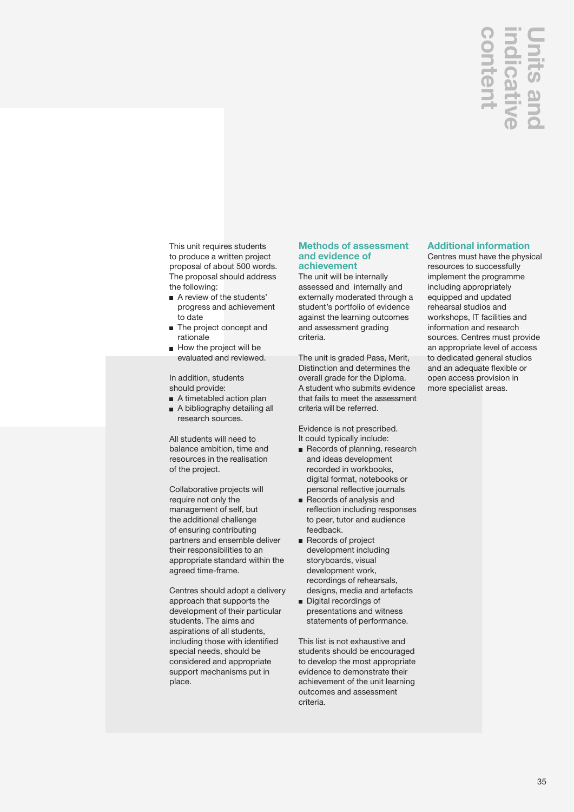## **Units and**

This unit requires students to produce a written project proposal of about 500 words. The proposal should address the following:

- A review of the students' progress and achievement to date
- The project concept and rationale
- $\blacksquare$  How the project will be evaluated and reviewed.

In addition, students should provide:

- A timetabled action plan
- A bibliography detailing all research sources.

All students will need to balance ambition, time and resources in the realisation of the project.

Collaborative projects will require not only the management of self, but the additional challenge of ensuring contributing partners and ensemble deliver their responsibilities to an appropriate standard within the agreed time-frame.

Centres should adopt a delivery approach that supports the development of their particular students. The aims and aspirations of all students, including those with identified special needs, should be considered and appropriate support mechanisms put in place.

### **Methods of assessment and evidence of achievement**

The unit will be internally assessed and internally and externally moderated through a student's portfolio of evidence against the learning outcomes and assessment grading criteria.

The unit is graded Pass, Merit, Distinction and determines the overall grade for the Diploma. A student who submits evidence that fails to meet the assessment criteria will be referred.

Evidence is not prescribed. It could typically include:

- Records of planning, research and ideas development recorded in workbooks, digital format, notebooks or personal reflective journals
- Records of analysis and reflection including responses to peer, tutor and audience feedback.
- Records of project development including storyboards, visual development work, recordings of rehearsals, designs, media and artefacts
- Digital recordings of presentations and witness statements of performance.

This list is not exhaustive and students should be encouraged to develop the most appropriate evidence to demonstrate their achievement of the unit learning outcomes and assessment criteria.

## **Additional information**

Centres must have the physical resources to successfully implement the programme including appropriately equipped and updated rehearsal studios and workshops, IT facilities and information and research sources. Centres must provide an appropriate level of access to dedicated general studios and an adequate flexible or open access provision in **CONTROLLER SERVING SERVING SERVING SERVING SERVING SERVING SERVING SERVING SERVING SERVING SERVING SERVING SERVING SERVING SERVING SERVING SERVING SERVING SERVING SERVING SERVING SERVING SERVING SERVING SERVING SERVING SE**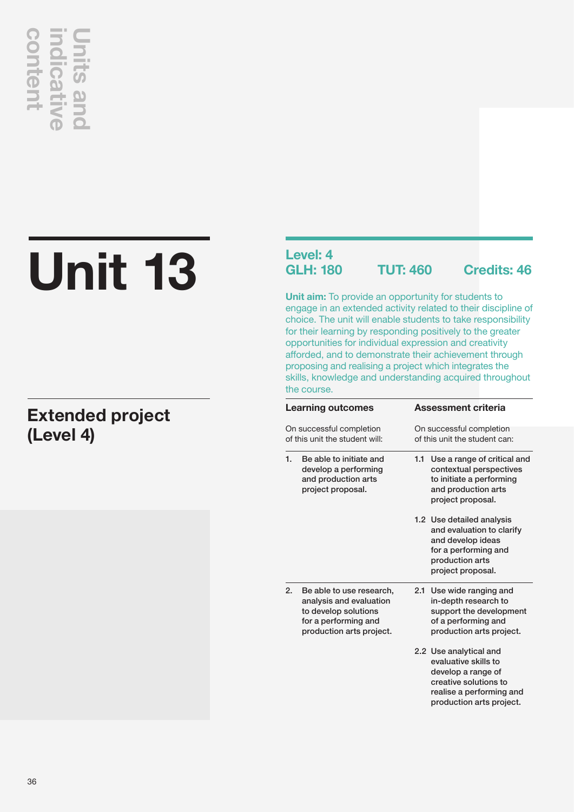## **content indicative Units and**  Intent

## **Unit 13**

## **Extended project (Level 4)**

## **Level: 4<br>GLH: 180**

**GLH: 180 TUT: 460 Credits: 46**

**Unit aim:** To provide an opportunity for students to engage in an extended activity related to their discipline of choice. The unit will enable students to take responsibility for their learning by responding positively to the greater opportunities for individual expression and creativity afforded, and to demonstrate their achievement through proposing and realising a project which integrates the skills, knowledge and understanding acquired throughout the course.

| <b>Learning outcomes</b><br>On successful completion<br>of this unit the student will: |                                                                                                                                 |                                                           | Assessment criteria                                                                                                                                   |
|----------------------------------------------------------------------------------------|---------------------------------------------------------------------------------------------------------------------------------|-----------------------------------------------------------|-------------------------------------------------------------------------------------------------------------------------------------------------------|
|                                                                                        |                                                                                                                                 | On successful completion<br>of this unit the student can: |                                                                                                                                                       |
| 1.                                                                                     | Be able to initiate and<br>develop a performing<br>and production arts<br>project proposal.                                     | 1.1                                                       | Use a range of critical and<br>contextual perspectives<br>to initiate a performing<br>and production arts<br>project proposal.                        |
|                                                                                        |                                                                                                                                 |                                                           | 1.2 Use detailed analysis<br>and evaluation to clarify<br>and develop ideas<br>for a performing and<br>production arts<br>project proposal.           |
| 2.                                                                                     | Be able to use research,<br>analysis and evaluation<br>to develop solutions<br>for a performing and<br>production arts project. |                                                           | 2.1 Use wide ranging and<br>in-depth research to<br>support the development<br>of a performing and<br>production arts project.                        |
|                                                                                        |                                                                                                                                 |                                                           | 2.2 Use analytical and<br>evaluative skills to<br>develop a range of<br>creative solutions to<br>realise a performing and<br>production arts project. |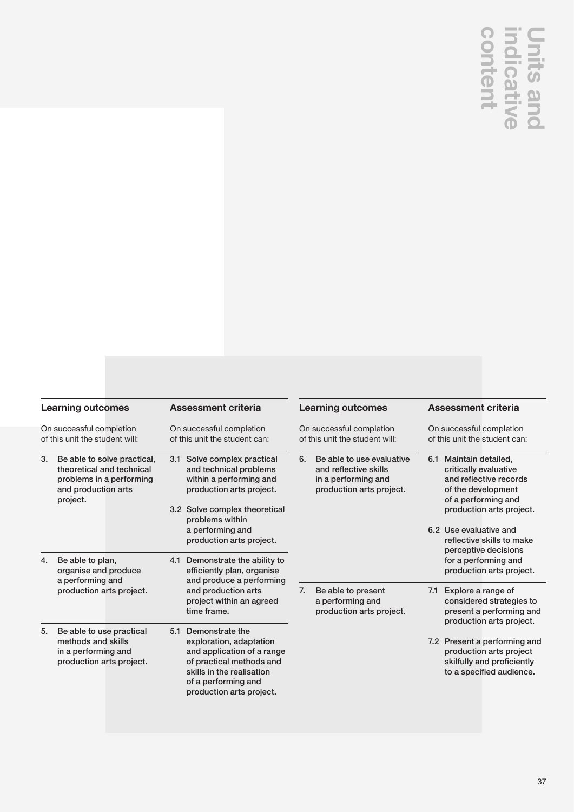## **Units and<br>indicative**<br>content

| <b>Learning outcomes</b>                                                                                                | <b>Assessment criteria</b>                                                                                                                                                                                       | <b>Learning outcomes</b>                                                                                    | <b>Assessment criteria</b>                                                                                                                                                                                                        |
|-------------------------------------------------------------------------------------------------------------------------|------------------------------------------------------------------------------------------------------------------------------------------------------------------------------------------------------------------|-------------------------------------------------------------------------------------------------------------|-----------------------------------------------------------------------------------------------------------------------------------------------------------------------------------------------------------------------------------|
| On successful completion<br>of this unit the student will:                                                              | On successful completion<br>of this unit the student can:                                                                                                                                                        | On successful completion<br>of this unit the student will:                                                  | On successful completion<br>of this unit the student can:                                                                                                                                                                         |
| Be able to solve practical,<br>theoretical and technical<br>problems in a performing<br>and production arts<br>project. | 3.1 Solve complex practical<br>and technical problems<br>within a performing and<br>production arts project.<br>3.2 Solve complex theoretical<br>problems within<br>a performing and<br>production arts project. | 6.<br>Be able to use evaluative<br>and reflective skills<br>in a performing and<br>production arts project. | 6.1 Maintain detailed,<br>critically evaluative<br>and reflective records<br>of the development<br>of a performing and<br>production arts project.<br>6.2 Use evaluative and<br>reflective skills to make<br>perceptive decisions |
| Be able to plan,<br>4.<br>organise and produce                                                                          | 4.1 Demonstrate the ability to<br>efficiently plan, organise                                                                                                                                                     |                                                                                                             | for a performing and<br>production arts project.                                                                                                                                                                                  |
| a performing and<br>production arts project.                                                                            | and produce a performing<br>and production arts<br>project within an agreed<br>time frame.                                                                                                                       | Be able to present<br>7.<br>a performing and<br>production arts project.                                    | Explore a range of<br>7.1<br>considered strategies to<br>present a performing and<br>production arts project.                                                                                                                     |
| Be able to use practical<br>5.<br>methods and skills<br>in a performing and<br>production arts project.                 | 5.1 Demonstrate the<br>exploration, adaptation<br>and application of a range<br>of practical methods and<br>skills in the realisation<br>of a performing and<br>production arts project.                         |                                                                                                             | 7.2 Present a performing and<br>production arts project<br>skilfully and proficiently<br>to a specified audience.                                                                                                                 |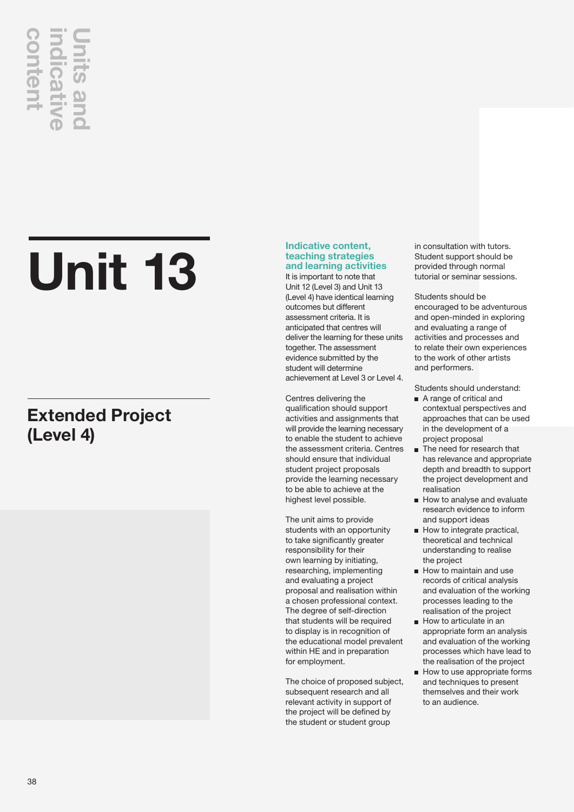## **content indicative Units and**

## **Unit 13**

## **Extended Project (Level 4)**

## **Indicative content, teaching strategies and learning activities**

It is important to note that Unit 12 (Level 3) and Unit 13 (Level 4) have identical learning outcomes but different assessment criteria. It is anticipated that centres will deliver the learning for these units together. The assessment evidence submitted by the student will determine achievement at Level 3 or Level 4.

Centres delivering the qualification should support activities and assignments that will provide the learning necessary to enable the student to achieve the assessment criteria. Centres should ensure that individual student project proposals provide the learning necessary to be able to achieve at the highest level possible.

The unit aims to provide students with an opportunity to take significantly greater responsibility for their own learning by initiating, researching, implementing and evaluating a project proposal and realisation within a chosen professional context. The degree of self-direction that students will be required to display is in recognition of the educational model prevalent within HE and in preparation for employment.

The choice of proposed subject, subsequent research and all relevant activity in support of the project will be defined by the student or student group

in consultation with tutors. Student support should be provided through normal tutorial or seminar sessions.

Students should be encouraged to be adventurous and open-minded in exploring and evaluating a range of activities and processes and to relate their own experiences to the work of other artists and performers.

Students should understand:

- A range of critical and contextual perspectives and approaches that can be used in the development of a project proposal
- The need for research that has relevance and appropriate depth and breadth to support the project development and realisation
- How to analyse and evaluate research evidence to inform and support ideas
- How to integrate practical, theoretical and technical understanding to realise the project
- How to maintain and use records of critical analysis and evaluation of the working processes leading to the realisation of the project
- $\blacksquare$  How to articulate in an appropriate form an analysis and evaluation of the working processes which have lead to the realisation of the project
- $\blacksquare$  How to use appropriate forms and techniques to present themselves and their work to an audience.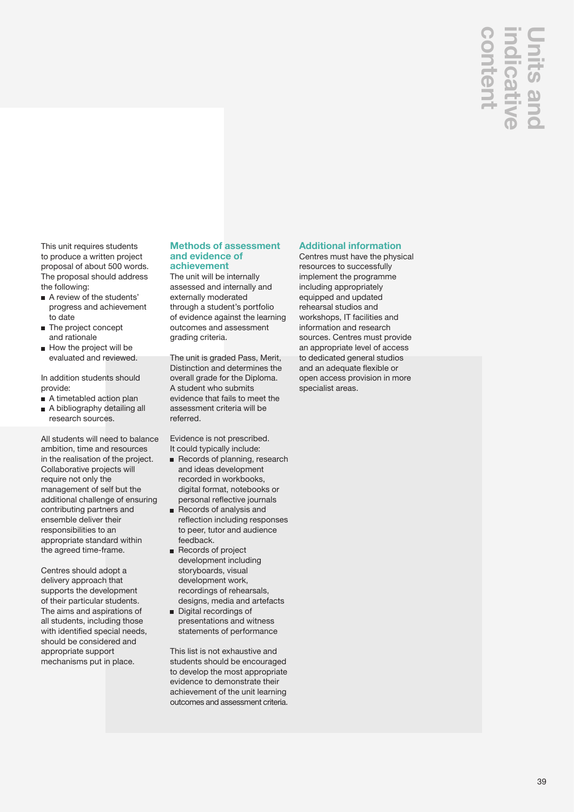## **content indicative Units and**

This unit requires students to produce a written project proposal of about 500 words. The proposal should address the following:

- A review of the students' progress and achievement to date
- The project concept and rationale
- $\blacksquare$  How the project will be evaluated and reviewed.

In addition students should provide:

- A timetabled action plan
- A bibliography detailing all research sources.

All students will need to balance ambition, time and resources in the realisation of the project. Collaborative projects will require not only the management of self but the additional challenge of ensuring contributing partners and ensemble deliver their responsibilities to an appropriate standard within the agreed time-frame.

Centres should adopt a delivery approach that supports the development of their particular students. The aims and aspirations of all students, including those with identified special needs. should be considered and appropriate support mechanisms put in place.

### **Methods of assessment and evidence of achievement**

The unit will be internally assessed and internally and externally moderated through a student's portfolio of evidence against the learning outcomes and assessment grading criteria.

The unit is graded Pass, Merit, Distinction and determines the overall grade for the Diploma. A student who submits evidence that fails to meet the assessment criteria will be referred.

Evidence is not prescribed. It could typically include:

- Records of planning, research and ideas development recorded in workbooks, digital format, notebooks or personal reflective journals
- Records of analysis and reflection including responses to peer, tutor and audience feedback.
- Records of project development including storyboards, visual development work, recordings of rehearsals, designs, media and artefacts
- Digital recordings of presentations and witness statements of performance

This list is not exhaustive and students should be encouraged to develop the most appropriate evidence to demonstrate their achievement of the unit learning outcomes and assessment criteria.

## **Additional information**

Centres must have the physical resources to successfully implement the programme including appropriately equipped and updated rehearsal studios and workshops, IT facilities and information and research sources. Centres must provide an appropriate level of access to dedicated general studios and an adequate flexible or open access provision in more specialist areas.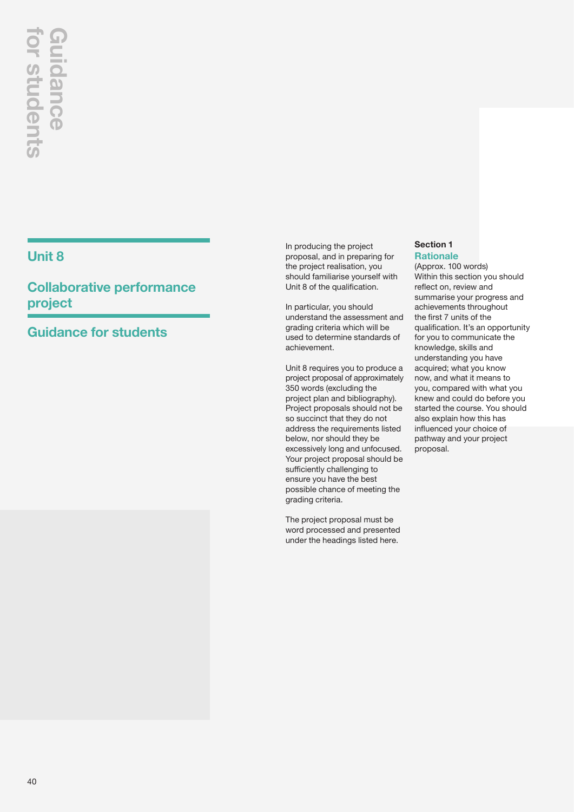## **Unit 8**

**Collaborative performance project**

## **Guidance for students**

In producing the project proposal, and in preparing for the project realisation, you should familiarise yourself with Unit 8 of the qualification.

In particular, you should understand the assessment and grading criteria which will be used to determine standards of achievement.

Unit 8 requires you to produce a project proposal of approximately 350 words (excluding the project plan and bibliography). Project proposals should not be so succinct that they do not address the requirements listed below, nor should they be excessively long and unfocused. Your project proposal should be sufficiently challenging to ensure you have the best possible chance of meeting the grading criteria.

The project proposal must be word processed and presented under the headings listed here.

## **Section 1 Rationale**

(Approx. 100 words) Within this section you should reflect on, review and summarise
 your progress and achievements throughout the 
first 7 units of the qualification. It's an opportunity for you to communicate the knowledge, skills and understanding you have acquired; what you know now, and what it means to you, compared with what you knew and could do
 before you started the course. You should also explain how this has influenced your choice of pathway and your project proposal.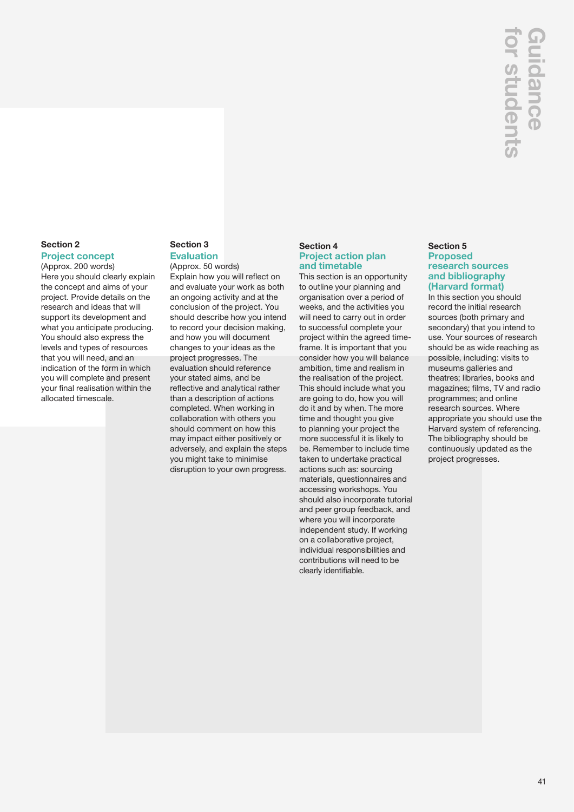## **Section 2 Project concept**

(Approx. 200 words) Here you should clearly explain the concept and aims of your project. Provide details on the research and ideas that will support
 its development and what you anticipate producing. You should also express the levels and types of resources that you will need, and an indication of the form in which you will complete and present your final realisation within the allocated timescale.

## **Section 3 Evaluation**

(Approx. 50 words) Explain how you will reflect on and evaluate your work as both
 an ongoing activity and at 
the conclusion of the project. You should describe how
 you intend to record your decision making, and how
 you will document changes
 to your ideas as the project progresses. The evaluation should reference your stated aims, and be reflective and analytical rather than a description of actions completed. When working in collaboration with others you should comment on how this may impact either positively
 or adversely, and explain the steps you might take to minimise disruption to your own progress.

## **Section 4 Project action plan and timetable**

This section is an opportunity to outline your planning and organisation over a period of weeks, and the activities you will need to carry out in order to successful complete your project within the agreed timeframe. It is important that you consider how you will balance ambition, time and realism in the realisation of the project. This should include what you are going to do, how you will do it and by when. The more time and thought you give to planning your project the more successful it is likely to be. Remember to include time taken to undertake practical actions such as: sourcing materials, questionnaires and accessing workshops. You should also incorporate tutorial and peer group feedback, and where you will incorporate independent study. If working on a collaborative project, individual responsibilities and contributions will need to be clearly identifiable.

## **Section 5 Proposed research sources and bibliography (Harvard format)**

In this section you should record the initial research sources (both primary and secondary) that you intend to use. Your sources of research should be as wide reaching as possible, including: visits to museums galleries and theatres; libraries, books and magazines; films, TV and radio programmes; and online research sources. Where appropriate you should use the Harvard system of referencing. The bibliography should be continuously updated as the project progresses.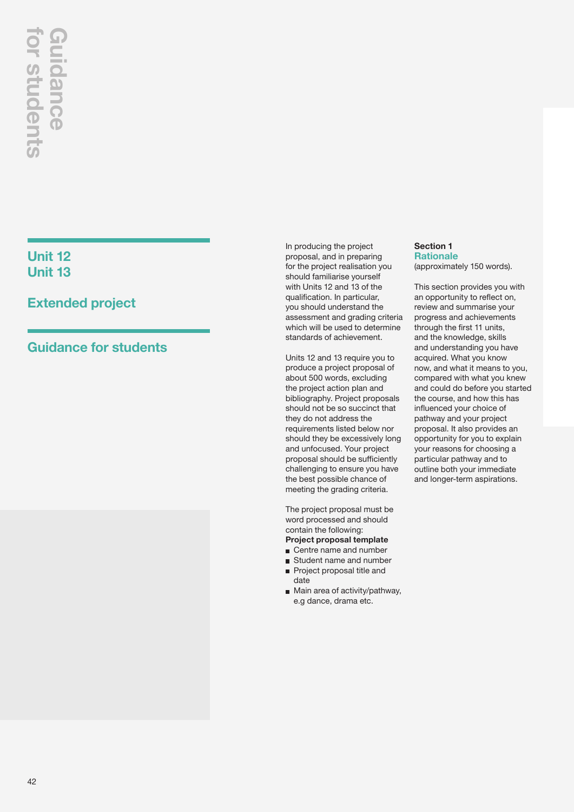## **Unit 12 Unit 13**

## **Extended project**

In producing the project proposal, and in preparing for the project realisation you should familiarise yourself with Units 12 and 13 of the qualification. In particular, you should understand the assessment and grading criteria which will be used to determine standards of achievement.

Units 12 and 13 require you to produce a project proposal of about 500 words, excluding the project action plan and bibliography. Project proposals should not be so succinct that they do not address the requirements listed below nor should they be excessively long and unfocused. Your project proposal should be sufficiently challenging to ensure you have the best possible chance of meeting the grading criteria.

The project proposal must be word processed and should contain the following:

- **Project proposal template** Centre name and number
- Student name and number
- Project proposal title and date
- Main area of activity/pathway, e.g dance, drama etc.

### **Section 1 Rationale** (approximately 150 words).

This section provides you with an opportunity to reflect on, review and summarise your progress and achievements through the first 11 units, and the knowledge, skills and understanding you have acquired. What you know now, and what it means to you, compared with what you knew and could do before you started the course, and how this has influenced your choice of pathway and your project proposal. It also provides an opportunity for you to explain your reasons for choosing a particular pathway and to outline both your immediate and longer-term aspirations.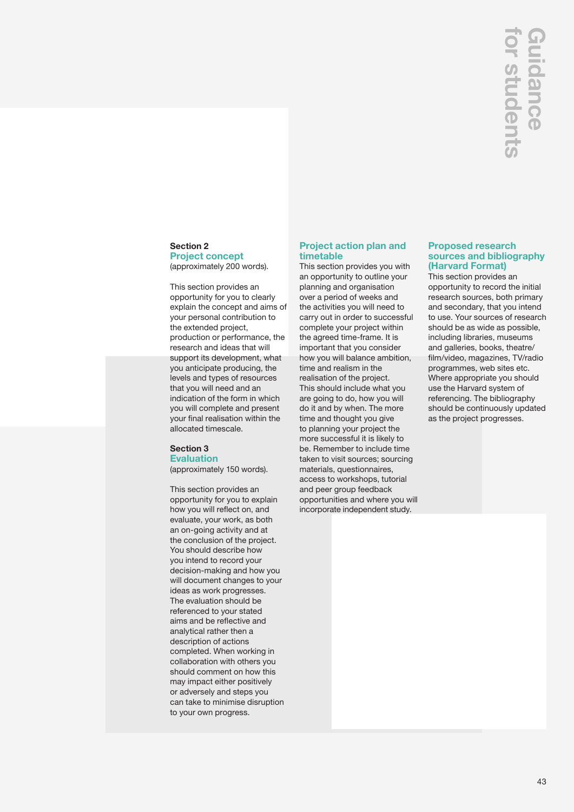## **Section 2 Project concept**  (approximately 200 words).

This section provides an opportunity for you to clearly explain the concept and aims of your personal contribution to the extended project, production or performance, the research and ideas that will support its development, what you anticipate producing, the levels and types of resources that you will need and an indication of the form in which you will complete and present your final realisation within the allocated timescale.

## **Section 3 Evaluation**

(approximately 150 words).

This section provides an opportunity for you to explain how you will reflect on, and evaluate, your work, as both an on-going activity and at the conclusion of the project. You should describe how you intend to record your decision-making and how you will document changes to your ideas as work progresses. The evaluation should be referenced to your stated aims and be reflective and analytical rather then a description of actions completed. When working in collaboration with others you should comment on how this may impact either positively or adversely and steps you can take to minimise disruption to your own progress.

## **Project action plan and timetable**

This section provides you with an opportunity to outline your planning and organisation over a period of weeks and the activities you will need to carry out in order to successful complete your project within the agreed time-frame. It is important that you consider how you will balance ambition, time and realism in the realisation of the project. This should include what you are going to do, how you will do it and by when. The more time and thought you give to planning your project the more successful it is likely to be. Remember to include time taken to visit sources; sourcing materials, questionnaires, access to workshops, tutorial and peer group feedback opportunities and where you will incorporate independent study.

## **Proposed research sources and bibliography (Harvard Format)**

This section provides an opportunity to record the initial research sources, both primary and secondary, that you intend to use. Your sources of research should be as wide as possible, including libraries, museums and galleries, books, theatre/ film/video, magazines, TV/radio programmes, web sites etc. Where appropriate you should use the Harvard system of referencing. The bibliography should be continuously updated **CONTRO SETTS CONTROLLER SURFERENCISES**<br> **Proposed research sources and bibliogresses. The proposed research sources and bibliogres. (Harvard Format)**<br>
This section provides an opportunity to recearch sources, both princip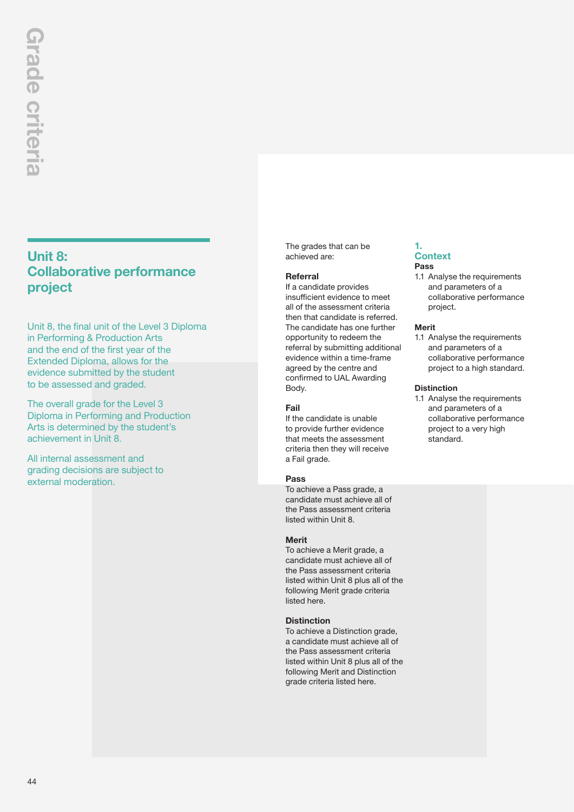## **Unit 8: Collaborative performance project**

Unit 8, the final unit of the Level 3 Diploma in Performing & Production Arts and the end of the first year of the Extended Diploma, allows for the evidence submitted by the student to be assessed and graded.

The overall grade for the Level 3 Diploma in Performing and Production Arts is determined by the student's achievement in Unit 8.

All internal assessment and grading decisions are subject to external moderation.

The grades that can be achieved are:

## **Referral**

If a candidate provides insufficient evidence to meet all of the assessment criteria then that candidate is referred. The candidate has one further opportunity to redeem the referral by submitting additional evidence within a time-frame agreed by the centre and confirmed to UAL Awarding Body.

## **Fail**

If the candidate is unable to provide further evidence that meets the assessment criteria then they will receive a Fail grade.

## **Pass**

To achieve a Pass grade, a candidate must achieve all of the Pass assessment criteria listed within Unit 8.

## **Merit**

To achieve a Merit grade, a candidate must achieve all of the Pass assessment criteria listed within Unit 8 plus all of the following Merit grade criteria listed here.

## **Distinction**

To achieve a Distinction grade, a candidate must achieve all of the Pass assessment criteria listed within Unit 8 plus all of the following Merit and Distinction grade criteria listed here.

### **1. Context Pass**

1.1 Analyse the requirements and parameters of a collaborative performance project.

### **Merit**

1.1 Analyse the requirements and parameters of a collaborative performance project to a high standard.

### **Distinction**

1.1 Analyse the requirements and parameters of a collaborative performance project to a very high standard.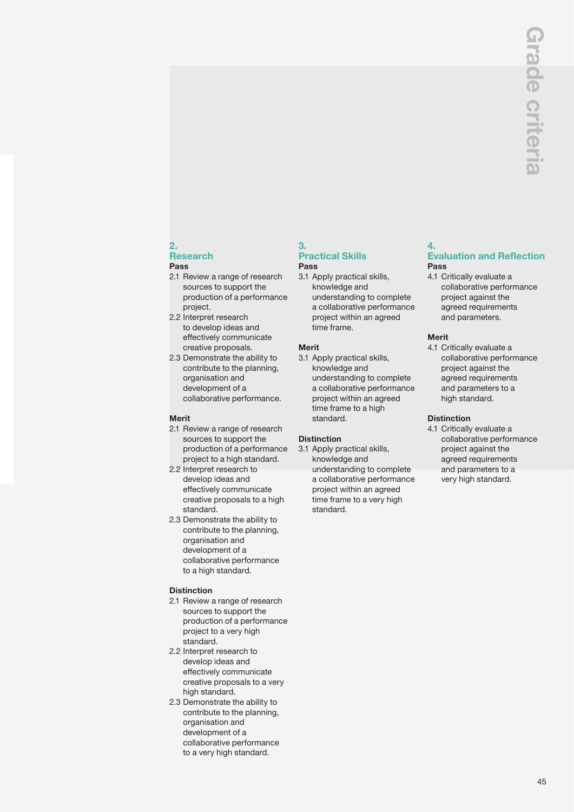## **2.**

### **Research Pass**

- 2.1 Review a range of research sources to support the production of a performance project.
- 2.2 Interpret research to develop ideas and effectively communicate creative proposals.
- 2.3 Demonstrate the ability to contribute to the planning, organisation and development of a collaborative performance.

## **Merit**

- 2.1 Review a range of research sources to support the production of a performance project to a high standard.
- 2.2 Interpret research to develop ideas and effectively communicate creative proposals to a high standard.
- 2.3 Demonstrate the ability to contribute to the planning, organisation and development of a collaborative performance to a high standard.

## **Distinction**

- 2.1 Review a range of research sources to support the production of a performance project to a very high standard.
- 2.2 Interpret research to develop ideas and effectively communicate creative proposals to a very high standard.
- 2.3 Demonstrate the ability to contribute to the planning, organisation and development of a collaborative performance to a very high standard.

## **3. Practical Skills Pass**

3.1 Apply practical skills, knowledge and understanding to complete a collaborative performance project within an agreed time frame.

## **Merit**

3.1 Apply practical skills, knowledge and understanding to complete a collaborative performance project within an agreed time frame to a high standard.

## **Distinction**

3.1 Apply practical skills, knowledge and understanding to complete a collaborative performance project within an agreed time frame to a very high standard.

### **4. Evaluation and Reflection Pass**

4.1 Critically evaluate a collaborative performance project against the agreed requirements and parameters.

## **Merit**

4.1 Critically evaluate a collaborative performance project against the agreed requirements and parameters to a high standard.

## **Distinction**

4.1 Critically evaluate a collaborative performance project against the agreed requirements and parameters to a very high standard.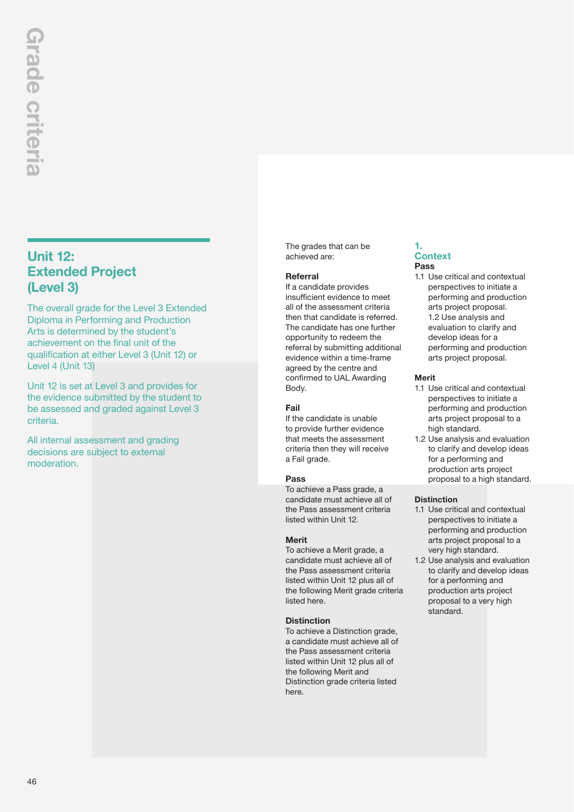## **Unit 12: Extended Project (Level 3)**

The overall grade for the Level 3 Extended Diploma in Performing and Production Arts is determined by the student's achievement on the final unit of the qualification at either Level 3 (Unit 12) or Level 4 (Unit 13)

Unit 12 is set at Level 3 and provides for the evidence submitted by the student to be assessed and graded against Level 3 criteria.

All internal assessment and grading decisions are subject to external moderation.

The grades that can be achieved are:

## **Referral**

If a candidate provides insufficient evidence to meet all of the assessment criteria then that candidate is referred. The candidate has one further opportunity to redeem the referral by submitting additional evidence within a time-frame agreed by the centre and confirmed to UAL Awarding Body.

## **Fail**

If the candidate is unable to provide further evidence that meets the assessment criteria then they will receive a Fail grade.

## **Pass**

To achieve a Pass grade, a candidate must achieve all of the Pass assessment criteria listed within Unit 12.

## **Merit**

To achieve a Merit grade, a candidate must achieve all of the Pass assessment criteria listed within Unit 12 plus all of the following Merit grade criteria listed here.

## **Distinction**

To achieve a Distinction grade, a candidate must achieve all of the Pass assessment criteria listed within Unit 12 plus all of the following Merit and Distinction grade criteria listed here.

### **1. Context Pass**

1.1 Use critical and contextual perspectives to initiate a performing and production arts project proposal. 1.2 Use analysis and evaluation to clarify and develop ideas for a performing and production arts project proposal.

### **Merit**

- 1.1 Use critical and contextual perspectives to initiate a performing and production arts project proposal to a high standard.
- 1.2 Use analysis and evaluation to clarify and develop ideas for a performing and production arts project proposal to a high standard.

## **Distinction**

- 1.1 Use critical and contextual perspectives to initiate a performing and production arts project proposal to a very high standard.
- 1.2 Use analysis and evaluation to clarify and develop ideas for a performing and production arts project proposal to a very high standard.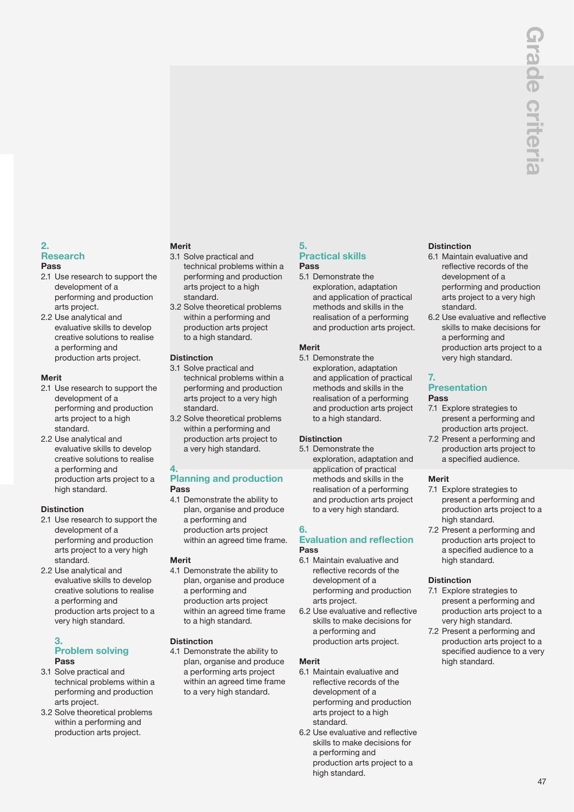### **2. Research Pass**

- 2.1 Use research to support the development of a performing and production arts project.
- 2.2 Use analytical and evaluative skills to develop creative solutions to realise a performing and production arts project.

## **Merit**

- 2.1 Use research to support the development of a performing and production arts project to a high standard.
- 2.2 Use analytical and evaluative skills to develop creative solutions to realise a performing and production arts project to a high standard.

## **Distinction**

- 2.1 Use research to support the development of a performing and production arts project to a very high standard.
- 2.2 Use analytical and evaluative skills to develop creative solutions to realise a performing and production arts project to a very high standard.

### **3. Problem solving Pass**

- 3.1 Solve practical and technical problems within a performing and production arts project.
- 3.2 Solve theoretical problems within a performing and production arts project.

## **Merit**

- 3.1 Solve practical and technical problems within a performing and production arts project to a high standard.
- 3.2 Solve theoretical problems within a performing and production arts project to a high standard.

## **Distinction**

- 3.1 Solve practical and technical problems within a performing and production arts project to a very high standard.
- 3.2 Solve theoretical problems within a performing and production arts project to a very high standard.

## **4.**

## **Planning and production Pass**

4.1 Demonstrate the ability to plan, organise and produce a performing and production arts project within an agreed time frame.

## **Merit**

4.1 Demonstrate the ability to plan, organise and produce a performing and production arts project within an agreed time frame to a high standard.

## **Distinction**

4.1 Demonstrate the ability to plan, organise and produce a performing arts project within an agreed time frame to a very high standard.

### **5. Practical skills Pass**

- 5.1 Demonstrate the
	- exploration, adaptation and application of practical methods and skills in the realisation of a performing and production arts project.

## **Merit**

5.1 Demonstrate the exploration, adaptation and application of practical methods and skills in the realisation of a performing and production arts project to a high standard.

## **Distinction**

5.1 Demonstrate the exploration, adaptation and application of practical methods and skills in the realisation of a performing and production arts project to a very high standard.

## **6.**

## **Evaluation and reflection Pass**

- 6.1 Maintain evaluative and reflective records of the development of a performing and production arts project.
- 6.2 Use evaluative and reflective skills to make decisions for a performing and production arts project.

## **Merit**

- 6.1 Maintain evaluative and reflective records of the development of a performing and production arts project to a high standard.
- 6.2 Use evaluative and reflective skills to make decisions for a performing and production arts project to a high standard.

## **Distinction**

- 6.1 Maintain evaluative and reflective records of the development of a performing and production arts project to a very high standard.
- 6.2 Use evaluative and reflective skills to make decisions for a performing and production arts project to a very high standard.

### **7. Presentation Pass**

- 7.1 Explore strategies to present a performing and production arts project.
- 7.2 Present a performing and production arts project to a specified audience.

## **Merit**

- 7.1 Explore strategies to present a performing and production arts project to a high standard.
- 7.2 Present a performing and production arts project to a specified audience to a high standard.

## **Distinction**

- 7.1 Explore strategies to present a performing and production arts project to a very high standard.
- 7.2 Present a performing and production arts project to a specified audience to a very high standard.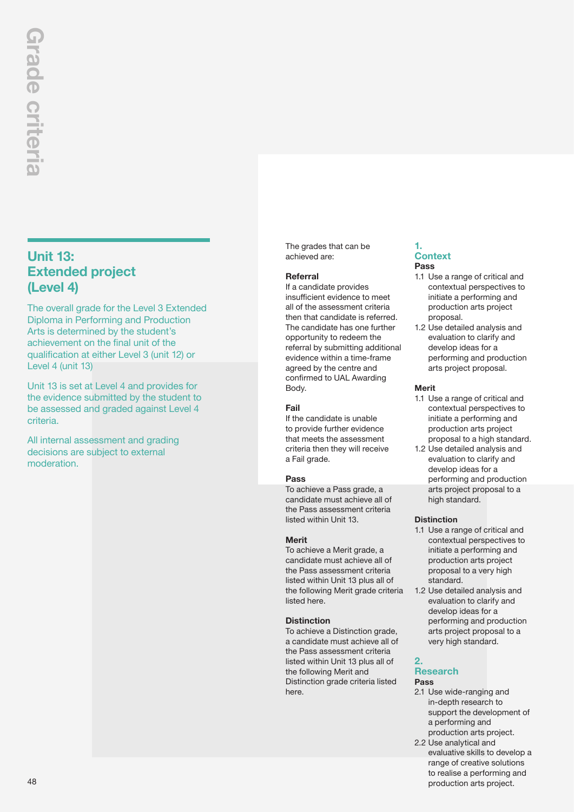## **Unit 13: Extended project (Level 4)**

The overall grade for the Level 3 Extended Diploma in Performing and Production Arts is determined by the student's achievement on the final unit of the qualification at either Level 3 (unit 12) or Level 4 (unit 13)

Unit 13 is set at Level 4 and provides for the evidence submitted by the student to be assessed and graded against Level 4 criteria.

All internal assessment and grading decisions are subject to external moderation.

The grades that can be achieved are:

## **Referral**

If a candidate provides insufficient evidence to meet all of the assessment criteria then that candidate is referred. The candidate has one further opportunity to redeem the referral by submitting additional evidence within a time-frame agreed by the centre and confirmed to UAL Awarding Body.

## **Fail**

If the candidate is unable to provide further evidence that meets the assessment criteria then they will receive a Fail grade.

## **Pass**

To achieve a Pass grade, a candidate must achieve all of the Pass assessment criteria listed within Unit 13.

## **Merit**

To achieve a Merit grade, a candidate must achieve all of the Pass assessment criteria listed within Unit 13 plus all of the following Merit grade criteria listed here.

## **Distinction**

To achieve a Distinction grade, a candidate must achieve all of the Pass assessment criteria listed within Unit 13 plus all of the following Merit and Distinction grade criteria listed here.

### **1. Context Pass**

- 1.1 Use a range of critical and contextual perspectives to initiate a performing and production arts project proposal.
- 1.2 Use detailed analysis and evaluation to clarify and develop ideas for a performing and production arts project proposal.

## **Merit**

- 1.1 Use a range of critical and contextual perspectives to initiate a performing and production arts project proposal to a high standard.
- 1.2 Use detailed analysis and evaluation to clarify and develop ideas for a performing and production arts project proposal to a high standard.

## **Distinction**

- 1.1 Use a range of critical and contextual perspectives to initiate a performing and production arts project proposal to a very high standard.
- 1.2 Use detailed analysis and evaluation to clarify and develop ideas for a performing and production arts project proposal to a very high standard.

### **2. Research Pass**

- 2.1 Use wide-ranging and in-depth research to support the development of a performing and production arts project.
- 2.2 Use analytical and evaluative skills to develop a range of creative solutions to realise a performing and production arts project.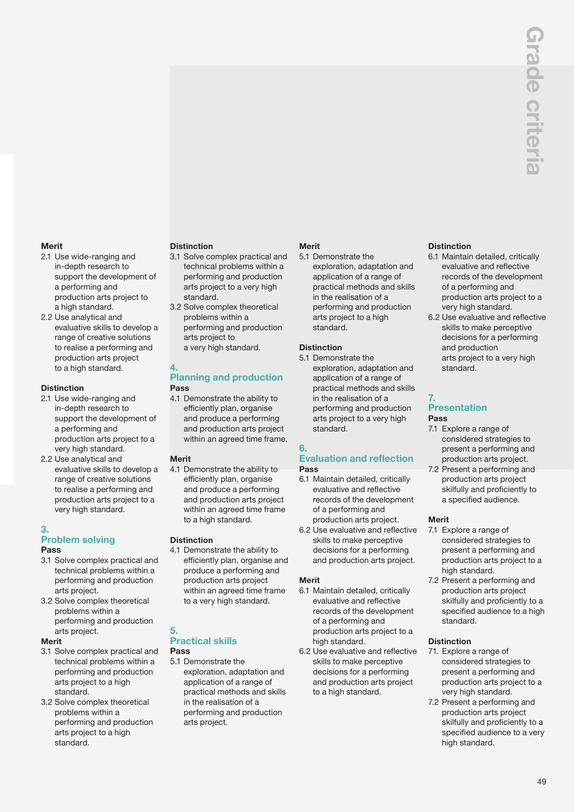## **Merit**

- 2.1 Use wide-ranging and in-depth research to support the development of a performing and production arts project to a high standard.
- 2.2 Use analytical and evaluative skills to develop a range of creative solutions to realise a performing and production arts project to a high standard.

## **Distinction**

- 2.1 Use wide-ranging and in-depth research to support the development of a performing and production arts project to a very high standard.
- 2.2 Use analytical and evaluative skills to develop a range of creative solutions to realise a performing and production arts project to a very high standard.

## **3.**

## **Problem solving Pass**

- 3.1 Solve complex practical and technical problems within a performing and production arts project.
- 3.2 Solve complex theoretical problems within a performing and production arts project.

## **Merit**

- 3.1 Solve complex practical and technical problems within a performing and production arts project to a high standard.
- 3.2 Solve complex theoretical problems within a performing and production arts project to a high standard.

## **Distinction**

- 3.1 Solve complex practical and technical problems within a performing and production arts project to a very high standard.
- 3.2 Solve complex theoretical problems within a performing and production arts project to a very high standard.

### **4. Planning and production Pass**

4.1 Demonstrate the ability to efficiently plan, organise and produce a performing and production arts project within an agreed time frame.

## **Merit**

4.1 Demonstrate the ability to efficiently plan, organise and produce a performing and production arts project within an agreed time frame to a high standard.

## **Distinction**

4.1 Demonstrate the ability to efficiently plan, organise and produce a performing and production arts project within an agreed time frame to a very high standard.

### **5. Practical skills Pass**

5.1 Demonstrate the exploration, adaptation and application of a range of practical methods and skills in the realisation of a performing and production arts project.

## **Merit**

5.1 Demonstrate the exploration, adaptation and application of a range of practical methods and skills in the realisation of a performing and production arts project to a high standard.

## **Distinction**

5.1 Demonstrate the exploration, adaptation and application of a range of practical methods and skills in the realisation of a performing and production arts project to a very high standard.

## **6.**

## **Evaluation and reflection Pass**

- 6.1 Maintain detailed, critically evaluative and reflective records of the development of a performing and production arts project.
- 6.2 Use evaluative and reflective skills to make perceptive decisions for a performing and production arts project.

## **Merit**

- 6.1 Maintain detailed, critically evaluative and reflective records of the development of a performing and production arts project to a high standard.
- 6.2 Use evaluative and reflective skills to make perceptive decisions for a performing and production arts project to a high standard.

## **Distinction**

- 6.1 Maintain detailed, critically evaluative and reflective records of the development of a performing and production arts project to a very high standard.
- 6.2 Use evaluative and reflective skills to make perceptive decisions for a performing and production arts project to a very high standard.

### **7. Presentation Pass**

- 7.1 Explore a range of considered strategies to present a performing and production arts project.
- 7.2 Present a performing and production arts project skilfully and proficiently to a specified audience.

## **Merit**

- 7.1 Explore a range of considered strategies to present a performing and production arts project to a high standard.
- 7.2 Present a performing and production arts project skilfully and proficiently to a specified audience to a high standard.

## **Distinction**

- 71. Explore a range of considered strategies to present a performing and production arts project to a very high standard.
- 7.2 Present a performing and production arts project skilfully and proficiently to a specified audience to a very high standard.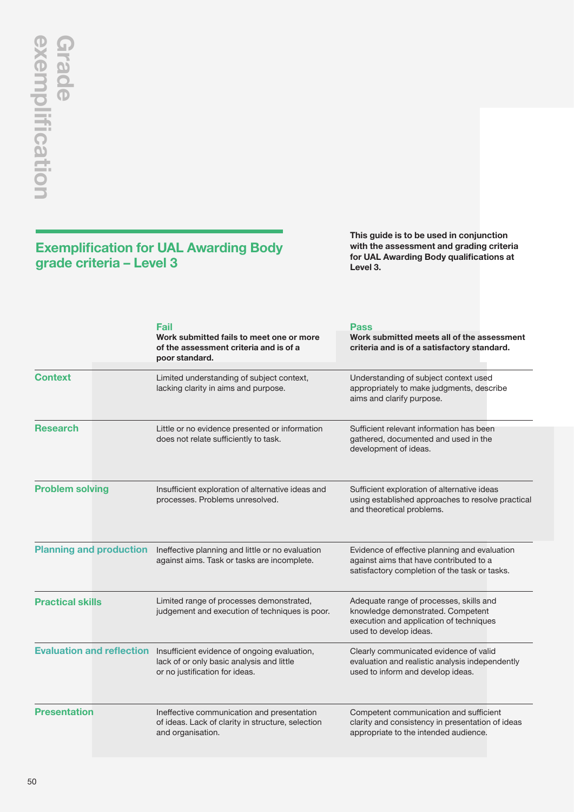## **Exemplification for UAL Awarding Body grade criteria – Level 3**

**This guide is to be used in conjunction with the assessment and grading criteria for UAL Awarding Body qualifications at Level 3.**

|                                | <b>Fail</b><br>Work submitted fails to meet one or more<br>of the assessment criteria and is of a<br>poor standard.                                   | Pass<br>Work submitted meets all of the assessment<br>criteria and is of a satisfactory standard.                                                 |
|--------------------------------|-------------------------------------------------------------------------------------------------------------------------------------------------------|---------------------------------------------------------------------------------------------------------------------------------------------------|
| <b>Context</b>                 | Limited understanding of subject context,<br>lacking clarity in aims and purpose.                                                                     | Understanding of subject context used<br>appropriately to make judgments, describe<br>aims and clarify purpose.                                   |
| <b>Research</b>                | Little or no evidence presented or information<br>does not relate sufficiently to task.                                                               | Sufficient relevant information has been<br>gathered, documented and used in the<br>development of ideas.                                         |
| <b>Problem solving</b>         | Insufficient exploration of alternative ideas and<br>processes. Problems unresolved.                                                                  | Sufficient exploration of alternative ideas<br>using established approaches to resolve practical<br>and theoretical problems.                     |
| <b>Planning and production</b> | Ineffective planning and little or no evaluation<br>against aims. Task or tasks are incomplete.                                                       | Evidence of effective planning and evaluation<br>against aims that have contributed to a<br>satisfactory completion of the task or tasks.         |
| <b>Practical skills</b>        | Limited range of processes demonstrated,<br>judgement and execution of techniques is poor.                                                            | Adequate range of processes, skills and<br>knowledge demonstrated. Competent<br>execution and application of techniques<br>used to develop ideas. |
|                                | Evaluation and reflection Insufficient evidence of ongoing evaluation,<br>lack of or only basic analysis and little<br>or no justification for ideas. | Clearly communicated evidence of valid<br>evaluation and realistic analysis independently<br>used to inform and develop ideas.                    |
| <b>Presentation</b>            | Ineffective communication and presentation<br>of ideas. Lack of clarity in structure, selection<br>and organisation.                                  | Competent communication and sufficient<br>clarity and consistency in presentation of ideas<br>appropriate to the intended audience.               |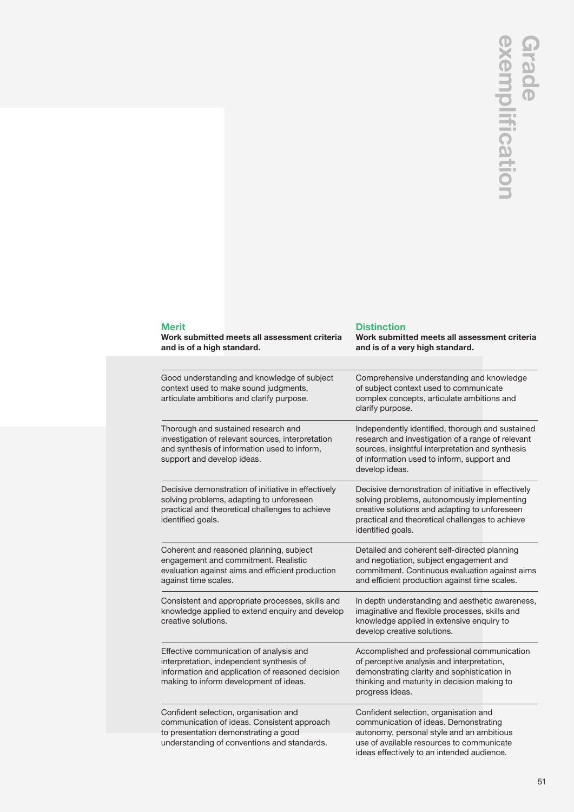|                                                                                                                                                                                   | fica                                                                                                                                                                                                                        |
|-----------------------------------------------------------------------------------------------------------------------------------------------------------------------------------|-----------------------------------------------------------------------------------------------------------------------------------------------------------------------------------------------------------------------------|
| <b>Merit</b><br>Work submitted meets all assessment criteria<br>and is of a high standard.                                                                                        | <b>Distinction</b><br>Work submitted meets all assessment criteria<br>and is of a very high standard.                                                                                                                       |
| Good understanding and knowledge of subject<br>context used to make sound judgments,<br>articulate ambitions and clarify purpose.                                                 | Comprehensive understanding and knowledge<br>of subject context used to communicate<br>complex concepts, articulate ambitions and<br>clarify purpose.                                                                       |
| Thorough and sustained research and<br>investigation of relevant sources, interpretation<br>and synthesis of information used to inform,<br>support and develop ideas.            | Independently identified, thorough and sustained<br>research and investigation of a range of relevant<br>sources, insightful interpretation and synthesis<br>of information used to inform, support and<br>develop ideas.   |
| Decisive demonstration of initiative in effectively<br>solving problems, adapting to unforeseen<br>practical and theoretical challenges to achieve<br>identified goals.           | Decisive demonstration of initiative in effectively<br>solving problems, autonomously implementing<br>creative solutions and adapting to unforeseen<br>practical and theoretical challenges to achieve<br>identified goals. |
| Coherent and reasoned planning, subject<br>engagement and commitment. Realistic<br>evaluation against aims and efficient production<br>against time scales.                       | Detailed and coherent self-directed planning<br>and negotiation, subject engagement and<br>commitment. Continuous evaluation against aims<br>and efficient production against time scales.                                  |
| Consistent and appropriate processes, skills and<br>knowledge applied to extend enquiry and develop<br>creative solutions.                                                        | In depth understanding and aesthetic awareness,<br>imaginative and flexible processes, skills and<br>knowledge applied in extensive enquiry to<br>develop creative solutions.                                               |
| Effective communication of analysis and<br>interpretation, independent synthesis of<br>information and application of reasoned decision<br>making to inform development of ideas. | Accomplished and professional communication<br>of perceptive analysis and interpretation,<br>demonstrating clarity and sophistication in<br>thinking and maturity in decision making to<br>progress ideas.                  |
| Confident selection, organisation and<br>communication of ideas. Consistent approach<br>to presentation demonstrating a good<br>understanding of conventions and standards.       | Confident selection, organisation and<br>communication of ideas. Demonstrating<br>autonomy, personal style and an ambitious<br>use of available resources to communicate<br>ideas effectively to an intended audience.      |